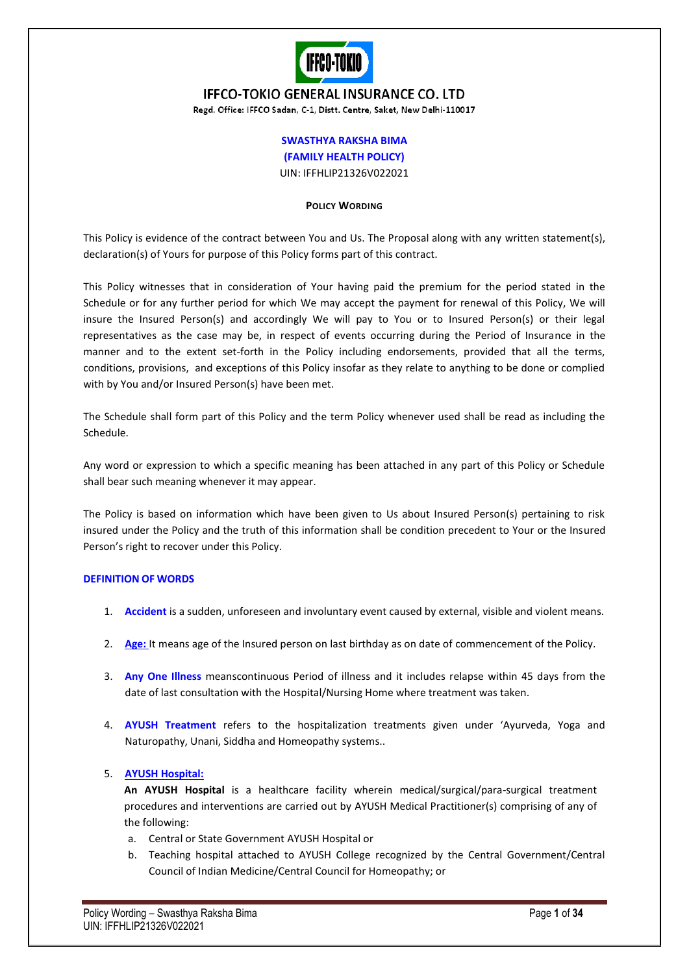

# **IFFCO-TOKIO GENERAL INSURANCE CO. LTD**

Regd. Office: IFFCO Sadan, C-1, Distt. Centre, Saket, New Delhi-110017

# **SWASTHYA RAKSHA BIMA (FAMILY HEALTH POLICY)** UIN: IFFHLIP21326V022021

### **POLICY WORDING**

This Policy is evidence of the contract between You and Us. The Proposal along with any written statement(s), declaration(s) of Yours for purpose of this Policy forms part of this contract.

This Policy witnesses that in consideration of Your having paid the premium for the period stated in the Schedule or for any further period for which We may accept the payment for renewal of this Policy, We will insure the Insured Person(s) and accordingly We will pay to You or to Insured Person(s) or their legal representatives as the case may be, in respect of events occurring during the Period of Insurance in the manner and to the extent set-forth in the Policy including endorsements, provided that all the terms, conditions, provisions, and exceptions of this Policy insofar as they relate to anything to be done or complied with by You and/or Insured Person(s) have been met.

The Schedule shall form part of this Policy and the term Policy whenever used shall be read as including the Schedule.

Any word or expression to which a specific meaning has been attached in any part of this Policy or Schedule shall bear such meaning whenever it may appear.

The Policy is based on information which have been given to Us about Insured Person(s) pertaining to risk insured under the Policy and the truth of this information shall be condition precedent to Your or the Insured Person's right to recover under this Policy.

### **DEFINITION OF WORDS**

- 1. **Accident** is a sudden, unforeseen and involuntary event caused by external, visible and violent means.
- 2. **Age:** It means age of the Insured person on last birthday as on date of commencement of the Policy.
- 3. **Any One Illness** meanscontinuous Period of illness and it includes relapse within 45 days from the date of last consultation with the Hospital/Nursing Home where treatment was taken.
- 4. **AYUSH Treatment** refers to the hospitalization treatments given under 'Ayurveda, Yoga and Naturopathy, Unani, Siddha and Homeopathy systems..

### 5. **AYUSH Hospital:**

**An AYUSH Hospital** is a healthcare facility wherein medical/surgical/para-surgical treatment procedures and interventions are carried out by AYUSH Medical Practitioner(s) comprising of any of the following:

- a. Central or State Government AYUSH Hospital or
- b. Teaching hospital attached to AYUSH College recognized by the Central Government/Central Council of Indian Medicine/Central Council for Homeopathy; or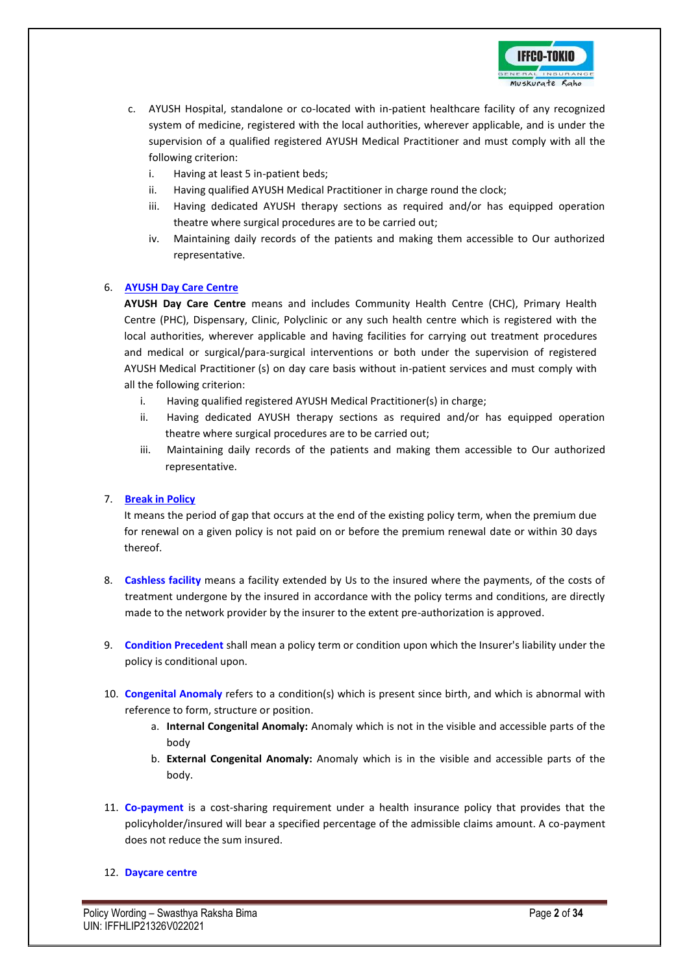

- c. AYUSH Hospital, standalone or co-located with in-patient healthcare facility of any recognized system of medicine, registered with the local authorities, wherever applicable, and is under the supervision of a qualified registered AYUSH Medical Practitioner and must comply with all the following criterion:
	- i. Having at least 5 in-patient beds;
	- ii. Having qualified AYUSH Medical Practitioner in charge round the clock;
	- iii. Having dedicated AYUSH therapy sections as required and/or has equipped operation theatre where surgical procedures are to be carried out;
	- iv. Maintaining daily records of the patients and making them accessible to Our authorized representative.

### 6. **AYUSH Day Care Centre**

**AYUSH Day Care Centre** means and includes Community Health Centre (CHC), Primary Health Centre (PHC), Dispensary, Clinic, Polyclinic or any such health centre which is registered with the local authorities, wherever applicable and having facilities for carrying out treatment procedures and medical or surgical/para-surgical interventions or both under the supervision of registered AYUSH Medical Practitioner (s) on day care basis without in-patient services and must comply with all the following criterion:

- i. Having qualified registered AYUSH Medical Practitioner(s) in charge;
- ii. Having dedicated AYUSH therapy sections as required and/or has equipped operation theatre where surgical procedures are to be carried out;
- iii. Maintaining daily records of the patients and making them accessible to Our authorized representative.

### 7. **Break in Policy**

It means the period of gap that occurs at the end of the existing policy term, when the premium due for renewal on a given policy is not paid on or before the premium renewal date or within 30 days thereof.

- 8. **Cashless facility** means a facility extended by Us to the insured where the payments, of the costs of treatment undergone by the insured in accordance with the policy terms and conditions, are directly made to the network provider by the insurer to the extent pre-authorization is approved.
- 9. **Condition Precedent** shall mean a policy term or condition upon which the Insurer's liability under the policy is conditional upon.
- 10. **Congenital Anomaly** refers to a condition(s) which is present since birth, and which is abnormal with reference to form, structure or position.
	- a. **Internal Congenital Anomaly:** Anomaly which is not in the visible and accessible parts of the body
	- b. **External Congenital Anomaly:** Anomaly which is in the visible and accessible parts of the body.
- 11. **Co-payment** is a cost-sharing requirement under a health insurance policy that provides that the policyholder/insured will bear a specified percentage of the admissible claims amount. A co-payment does not reduce the sum insured.

### 12. **Daycare centre**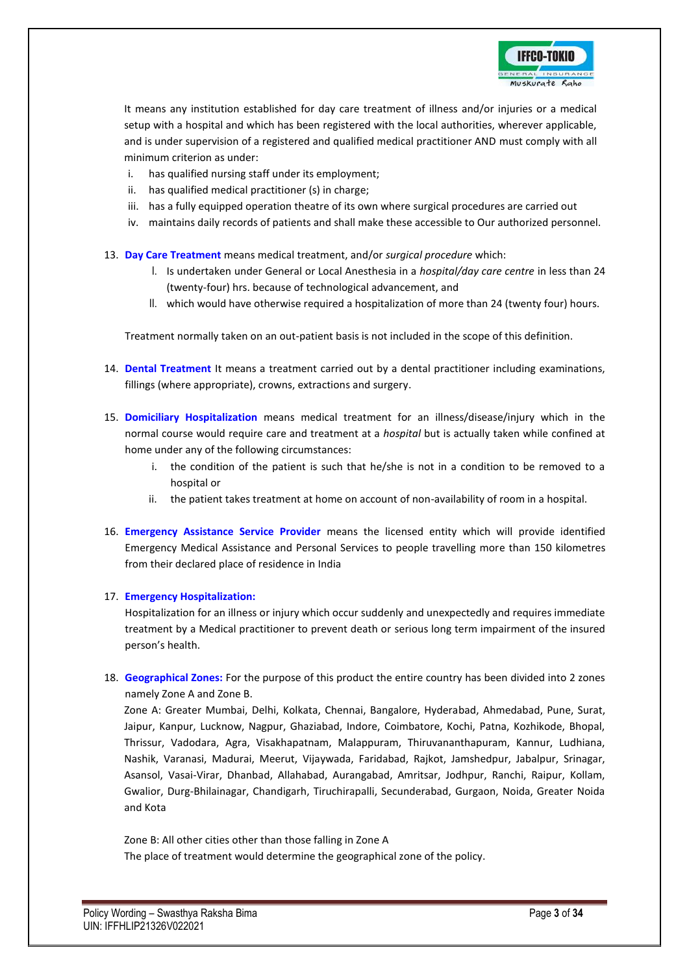

It means any institution established for day care treatment of illness and/or injuries or a medical setup with a hospital and which has been registered with the local authorities, wherever applicable, and is under supervision of a registered and qualified medical practitioner AND must comply with all minimum criterion as under:

- i. has qualified nursing staff under its employment;
- ii. has qualified medical practitioner (s) in charge;
- iii. has a fully equipped operation theatre of its own where surgical procedures are carried out
- iv. maintains daily records of patients and shall make these accessible to Our authorized personnel.
- 13. **Day Care Treatment** means medical treatment, and/or *surgical procedure* which:
	- I. Is undertaken under General or Local Anesthesia in a *hospital/day care centre* in less than 24 (twenty-four) hrs. because of technological advancement, and
	- II. which would have otherwise required a hospitalization of more than 24 (twenty four) hours.

Treatment normally taken on an out-patient basis is not included in the scope of this definition.

- 14. **Dental Treatment** It means a treatment carried out by a dental practitioner including examinations, fillings (where appropriate), crowns, extractions and surgery.
- 15. **Domiciliary Hospitalization** means medical treatment for an illness/disease/injury which in the normal course would require care and treatment at a *hospital* but is actually taken while confined at home under any of the following circumstances:
	- i. the condition of the patient is such that he/she is not in a condition to be removed to a hospital or
	- ii. the patient takes treatment at home on account of non-availability of room in a hospital.
- 16. **Emergency Assistance Service Provider** means the licensed entity which will provide identified Emergency Medical Assistance and Personal Services to people travelling more than 150 kilometres from their declared place of residence in India

### 17. **Emergency Hospitalization:**

Hospitalization for an illness or injury which occur suddenly and unexpectedly and requires immediate treatment by a Medical practitioner to prevent death or serious long term impairment of the insured person's health.

18. **Geographical Zones:** For the purpose of this product the entire country has been divided into 2 zones namely Zone A and Zone B.

Zone A: Greater Mumbai, Delhi, Kolkata, Chennai, Bangalore, Hyderabad, Ahmedabad, Pune, Surat, Jaipur, Kanpur, Lucknow, Nagpur, Ghaziabad, Indore, Coimbatore, Kochi, Patna, Kozhikode, Bhopal, Thrissur, Vadodara, Agra, Visakhapatnam, Malappuram, Thiruvananthapuram, Kannur, Ludhiana, Nashik, Varanasi, Madurai, Meerut, Vijaywada, Faridabad, Rajkot, Jamshedpur, Jabalpur, Srinagar, Asansol, Vasai-Virar, Dhanbad, Allahabad, Aurangabad, Amritsar, Jodhpur, Ranchi, Raipur, Kollam, Gwalior, Durg-Bhilainagar, Chandigarh, Tiruchirapalli, Secunderabad, Gurgaon, Noida, Greater Noida and Kota

Zone B: All other cities other than those falling in Zone A The place of treatment would determine the geographical zone of the policy.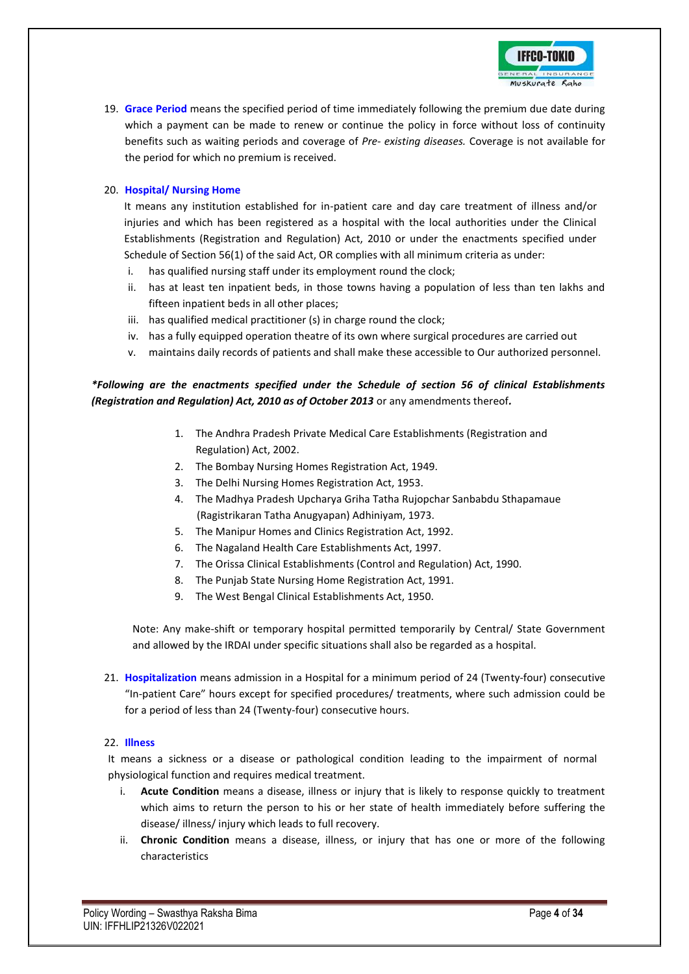

19. **Grace Period** means the specified period of time immediately following the premium due date during which a payment can be made to renew or continue the policy in force without loss of continuity benefits such as waiting periods and coverage of *Pre- existing diseases.* Coverage is not available for the period for which no premium is received.

### 20. **Hospital/ Nursing Home**

It means any institution established for in-patient care and day care treatment of illness and/or injuries and which has been registered as a hospital with the local authorities under the Clinical Establishments (Registration and Regulation) Act, 2010 or under the enactments specified under Schedule of Section 56(1) of the said Act, OR complies with all minimum criteria as under:

- i. has qualified nursing staff under its employment round the clock;
- ii. has at least ten inpatient beds, in those towns having a population of less than ten lakhs and fifteen inpatient beds in all other places;
- iii. has qualified medical practitioner (s) in charge round the clock;
- iv. has a fully equipped operation theatre of its own where surgical procedures are carried out
- v. maintains daily records of patients and shall make these accessible to Our authorized personnel.

# *\*Following are the enactments specified under the Schedule of section 56 of clinical Establishments (Registration and Regulation) Act, 2010 as of October 2013* or any amendments thereof*.*

- 1. The Andhra Pradesh Private Medical Care Establishments (Registration and Regulation) Act, 2002.
- 2. The Bombay Nursing Homes Registration Act, 1949.
- 3. The Delhi Nursing Homes Registration Act, 1953.
- 4. The Madhya Pradesh Upcharya Griha Tatha Rujopchar Sanbabdu Sthapamaue (Ragistrikaran Tatha Anugyapan) Adhiniyam, 1973.
- 5. The Manipur Homes and Clinics Registration Act, 1992.
- 6. The Nagaland Health Care Establishments Act, 1997.
- 7. The Orissa Clinical Establishments (Control and Regulation) Act, 1990.
- 8. The Punjab State Nursing Home Registration Act, 1991.
- 9. The West Bengal Clinical Establishments Act, 1950.

Note: Any make-shift or temporary hospital permitted temporarily by Central/ State Government and allowed by the IRDAI under specific situations shall also be regarded as a hospital.

21. **Hospitalization** means admission in a Hospital for a minimum period of 24 (Twenty-four) consecutive "In-patient Care" hours except for specified procedures/ treatments, where such admission could be for a period of less than 24 (Twenty-four) consecutive hours.

### 22. **Illness**

It means a sickness or a disease or pathological condition leading to the impairment of normal physiological function and requires medical treatment.

- Acute Condition means a disease, illness or injury that is likely to response quickly to treatment which aims to return the person to his or her state of health immediately before suffering the disease/ illness/ injury which leads to full recovery.
- ii. **Chronic Condition** means a disease, illness, or injury that has one or more of the following characteristics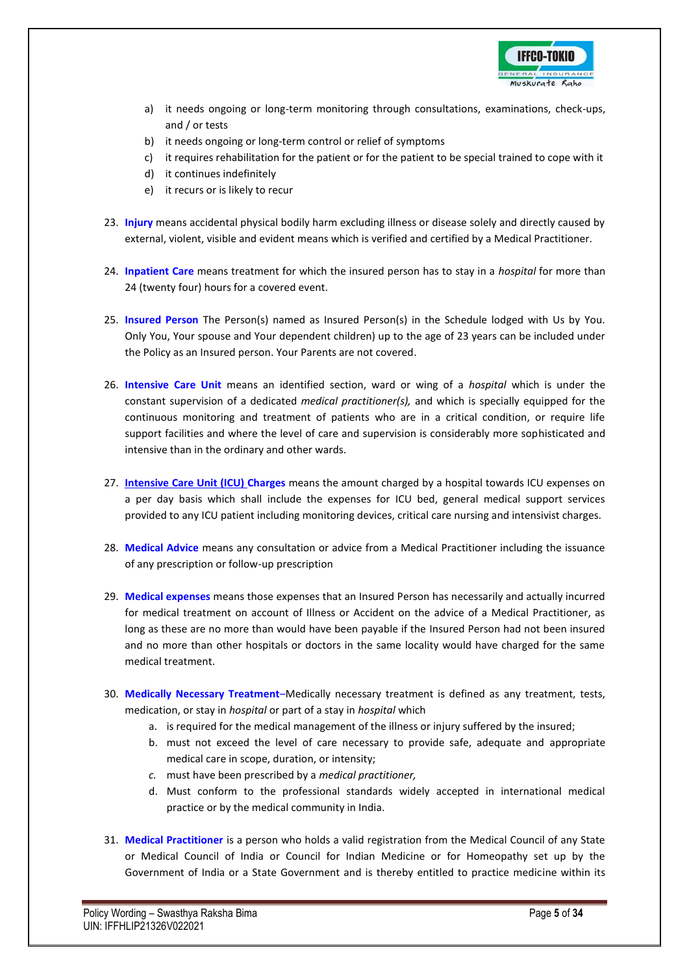

- a) it needs ongoing or long-term monitoring through consultations, examinations, check-ups, and / or tests
- b) it needs ongoing or long-term control or relief of symptoms
- c) it requires rehabilitation for the patient or for the patient to be special trained to cope with it
- d) it continues indefinitely
- e) it recurs or is likely to recur
- 23. **Injury** means accidental physical bodily harm excluding illness or disease solely and directly caused by external, violent, visible and evident means which is verified and certified by a Medical Practitioner.
- 24. **Inpatient Care** means treatment for which the insured person has to stay in a *hospital* for more than 24 (twenty four) hours for a covered event.
- 25. **Insured Person** The Person(s) named as Insured Person(s) in the Schedule lodged with Us by You. Only You, Your spouse and Your dependent children) up to the age of 23 years can be included under the Policy as an Insured person. Your Parents are not covered.
- 26. **Intensive Care Unit** means an identified section, ward or wing of a *hospital* which is under the constant supervision of a dedicated *medical practitioner(s),* and which is specially equipped for the continuous monitoring and treatment of patients who are in a critical condition, or require life support facilities and where the level of care and supervision is considerably more sophisticated and intensive than in the ordinary and other wards.
- 27. **Intensive Care Unit (ICU) Charges** means the amount charged by a hospital towards ICU expenses on a per day basis which shall include the expenses for ICU bed, general medical support services provided to any ICU patient including monitoring devices, critical care nursing and intensivist charges.
- 28. **Medical Advice** means any consultation or advice from a Medical Practitioner including the issuance of any prescription or follow-up prescription
- 29. **Medical expenses** means those expenses that an Insured Person has necessarily and actually incurred for medical treatment on account of Illness or Accident on the advice of a Medical Practitioner, as long as these are no more than would have been payable if the Insured Person had not been insured and no more than other hospitals or doctors in the same locality would have charged for the same medical treatment.
- 30. **Medically Necessary Treatment**–Medically necessary treatment is defined as any treatment, tests, medication, or stay in *hospital* or part of a stay in *hospital* which
	- a. is required for the medical management of the illness or injury suffered by the insured;
	- b. must not exceed the level of care necessary to provide safe, adequate and appropriate medical care in scope, duration, or intensity;
	- *c.* must have been prescribed by a *medical practitioner,*
	- d. Must conform to the professional standards widely accepted in international medical practice or by the medical community in India.
- 31. **Medical Practitioner** is a person who holds a valid registration from the Medical Council of any State or Medical Council of India or Council for Indian Medicine or for Homeopathy set up by the Government of India or a State Government and is thereby entitled to practice medicine within its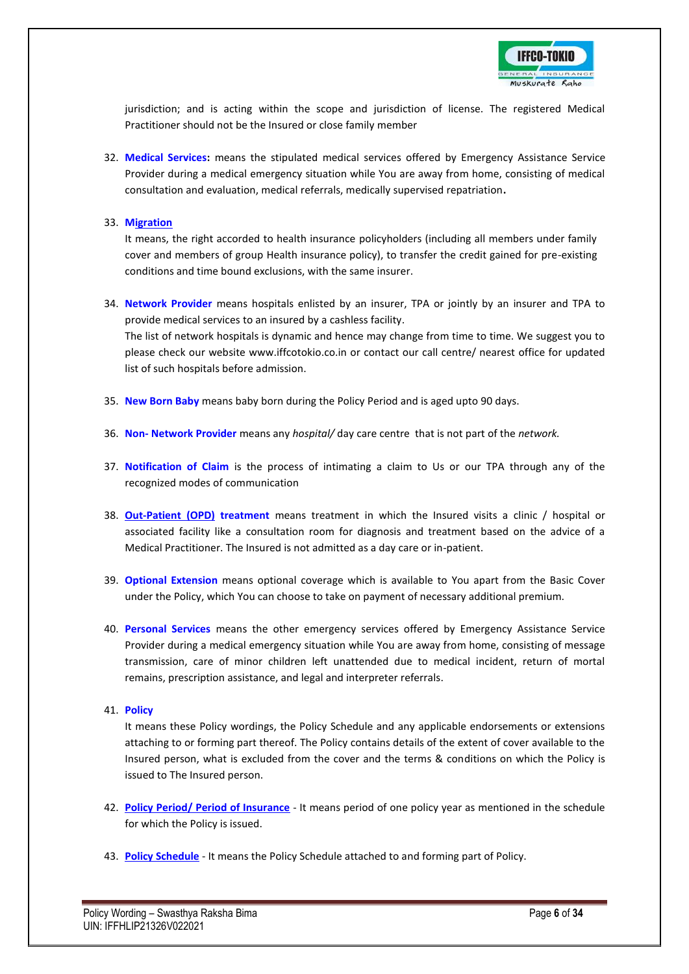

jurisdiction; and is acting within the scope and jurisdiction of license. The registered Medical Practitioner should not be the Insured or close family member

- 32. **Medical Services:** means the stipulated medical services offered by Emergency Assistance Service Provider during a medical emergency situation while You are away from home, consisting of medical consultation and evaluation, medical referrals, medically supervised repatriation**.**
- 33. **Migration**

It means, the right accorded to health insurance policyholders (including all members under family cover and members of group Health insurance policy), to transfer the credit gained for pre-existing conditions and time bound exclusions, with the same insurer.

- 34. **Network Provider** means hospitals enlisted by an insurer, TPA or jointly by an insurer and TPA to provide medical services to an insured by a cashless facility. The list of network hospitals is dynamic and hence may change from time to time. We suggest you to please check our website www.iffcotokio.co.in or contact our call centre/ nearest office for updated list of such hospitals before admission.
- 35. **New Born Baby** means baby born during the Policy Period and is aged upto 90 days.
- 36. **Non- Network Provider** means any *hospital/* day care centre that is not part of the *network.*
- 37. **Notification of Claim** is the process of intimating a claim to Us or our TPA through any of the recognized modes of communication
- 38. **Out-Patient (OPD) treatment** means treatment in which the Insured visits a clinic / hospital or associated facility like a consultation room for diagnosis and treatment based on the advice of a Medical Practitioner. The Insured is not admitted as a day care or in-patient.
- 39. **Optional Extension** means optional coverage which is available to You apart from the Basic Cover under the Policy, which You can choose to take on payment of necessary additional premium.
- 40. **Personal Services** means the other emergency services offered by Emergency Assistance Service Provider during a medical emergency situation while You are away from home, consisting of message transmission, care of minor children left unattended due to medical incident, return of mortal remains, prescription assistance, and legal and interpreter referrals.
- 41. **Policy**

It means these Policy wordings, the Policy Schedule and any applicable endorsements or extensions attaching to or forming part thereof. The Policy contains details of the extent of cover available to the Insured person, what is excluded from the cover and the terms & conditions on which the Policy is issued to The Insured person.

- 42. **Policy Period/ Period of Insurance** It means period of one policy year as mentioned in the schedule for which the Policy is issued.
- 43. **Policy Schedule** It means the Policy Schedule attached to and forming part of Policy.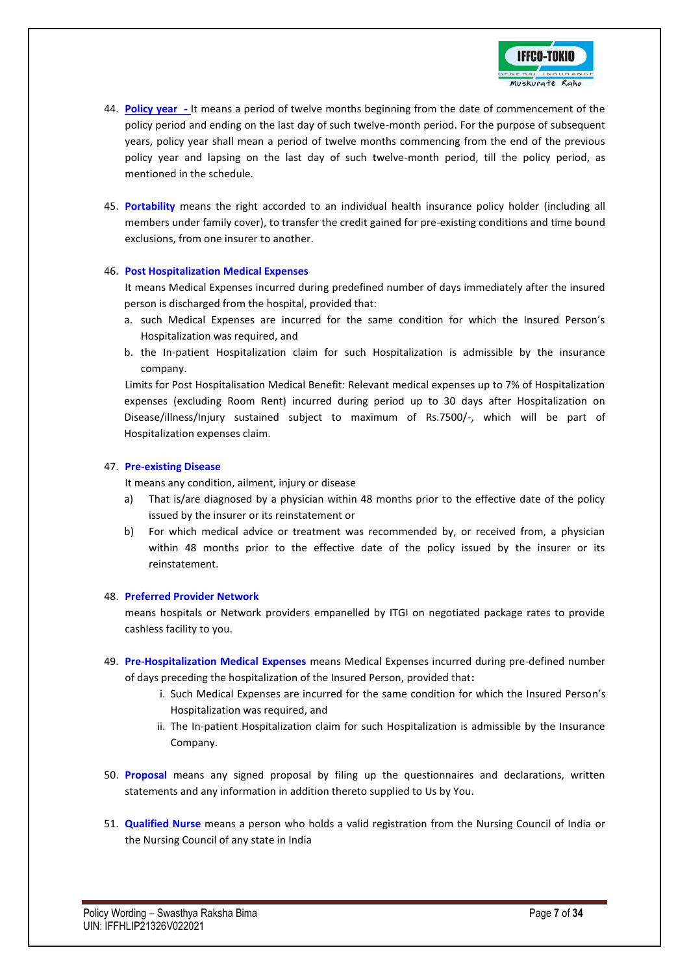

- 44. **Policy year -** It means a period of twelve months beginning from the date of commencement of the policy period and ending on the last day of such twelve-month period. For the purpose of subsequent years, policy year shall mean a period of twelve months commencing from the end of the previous policy year and lapsing on the last day of such twelve-month period, till the policy period, as mentioned in the schedule.
- 45. **Portability** means the right accorded to an individual health insurance policy holder (including all members under family cover), to transfer the credit gained for pre-existing conditions and time bound exclusions, from one insurer to another.

### 46. **Post Hospitalization Medical Expenses**

It means Medical Expenses incurred during predefined number of days immediately after the insured person is discharged from the hospital, provided that:

- a. such Medical Expenses are incurred for the same condition for which the Insured Person's Hospitalization was required, and
- b. the In-patient Hospitalization claim for such Hospitalization is admissible by the insurance company.

Limits for Post Hospitalisation Medical Benefit: Relevant medical expenses up to 7% of Hospitalization expenses (excluding Room Rent) incurred during period up to 30 days after Hospitalization on Disease/illness/Injury sustained subject to maximum of Rs.7500/-, which will be part of Hospitalization expenses claim.

#### 47. **Pre-existing Disease**

It means any condition, ailment, injury or disease

- a) That is/are diagnosed by a physician within 48 months prior to the effective date of the policy issued by the insurer or its reinstatement or
- b) For which medical advice or treatment was recommended by, or received from, a physician within 48 months prior to the effective date of the policy issued by the insurer or its reinstatement.

#### 48. **Preferred Provider Network**

means hospitals or Network providers empanelled by ITGI on negotiated package rates to provide cashless facility to you.

- 49. **Pre-Hospitalization Medical Expenses** means Medical Expenses incurred during pre-defined number of days preceding the hospitalization of the Insured Person, provided that**:**
	- i. Such Medical Expenses are incurred for the same condition for which the Insured Person's Hospitalization was required, and
	- ii. The In-patient Hospitalization claim for such Hospitalization is admissible by the Insurance Company.
- 50. **Proposal** means any signed proposal by filing up the questionnaires and declarations, written statements and any information in addition thereto supplied to Us by You.
- 51. **Qualified Nurse** means a person who holds a valid registration from the Nursing Council of India or the Nursing Council of any state in India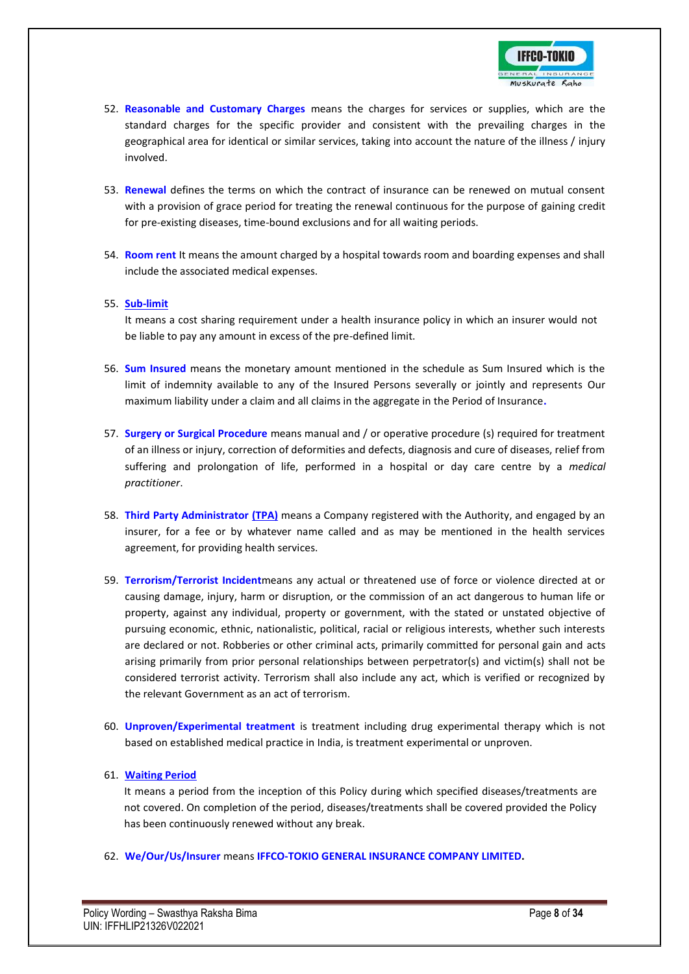

- 52. **Reasonable and Customary Charges** means the charges for services or supplies, which are the standard charges for the specific provider and consistent with the prevailing charges in the geographical area for identical or similar services, taking into account the nature of the illness / injury involved.
- 53. **Renewal** defines the terms on which the contract of insurance can be renewed on mutual consent with a provision of grace period for treating the renewal continuous for the purpose of gaining credit for pre-existing diseases, time-bound exclusions and for all waiting periods.
- 54. **Room rent** It means the amount charged by a hospital towards room and boarding expenses and shall include the associated medical expenses.

### 55. **Sub-limit**

It means a cost sharing requirement under a health insurance policy in which an insurer would not be liable to pay any amount in excess of the pre-defined limit.

- 56. **Sum Insured** means the monetary amount mentioned in the schedule as Sum Insured which is the limit of indemnity available to any of the Insured Persons severally or jointly and represents Our maximum liability under a claim and all claims in the aggregate in the Period of Insurance**.**
- 57. **Surgery or Surgical Procedure** means manual and / or operative procedure (s) required for treatment of an illness or injury, correction of deformities and defects, diagnosis and cure of diseases, relief from suffering and prolongation of life, performed in a hospital or day care centre by a *medical practitioner*.
- 58. **Third Party Administrator (TPA)** means a Company registered with the Authority, and engaged by an insurer, for a fee or by whatever name called and as may be mentioned in the health services agreement, for providing health services.
- 59. **Terrorism/Terrorist Incident**means any actual or threatened use of force or violence directed at or causing damage, injury, harm or disruption, or the commission of an act dangerous to human life or property, against any individual, property or government, with the stated or unstated objective of pursuing economic, ethnic, nationalistic, political, racial or religious interests, whether such interests are declared or not. Robberies or other criminal acts, primarily committed for personal gain and acts arising primarily from prior personal relationships between perpetrator(s) and victim(s) shall not be considered terrorist activity. Terrorism shall also include any act, which is verified or recognized by the relevant Government as an act of terrorism.
- 60. **Unproven/Experimental treatment** is treatment including drug experimental therapy which is not based on established medical practice in India, is treatment experimental or unproven.

### 61. **Waiting Period**

It means a period from the inception of this Policy during which specified diseases/treatments are not covered. On completion of the period, diseases/treatments shall be covered provided the Policy has been continuously renewed without any break.

62. **We/Our/Us/Insurer** means **IFFCO-TOKIO GENERAL INSURANCE COMPANY LIMITED.**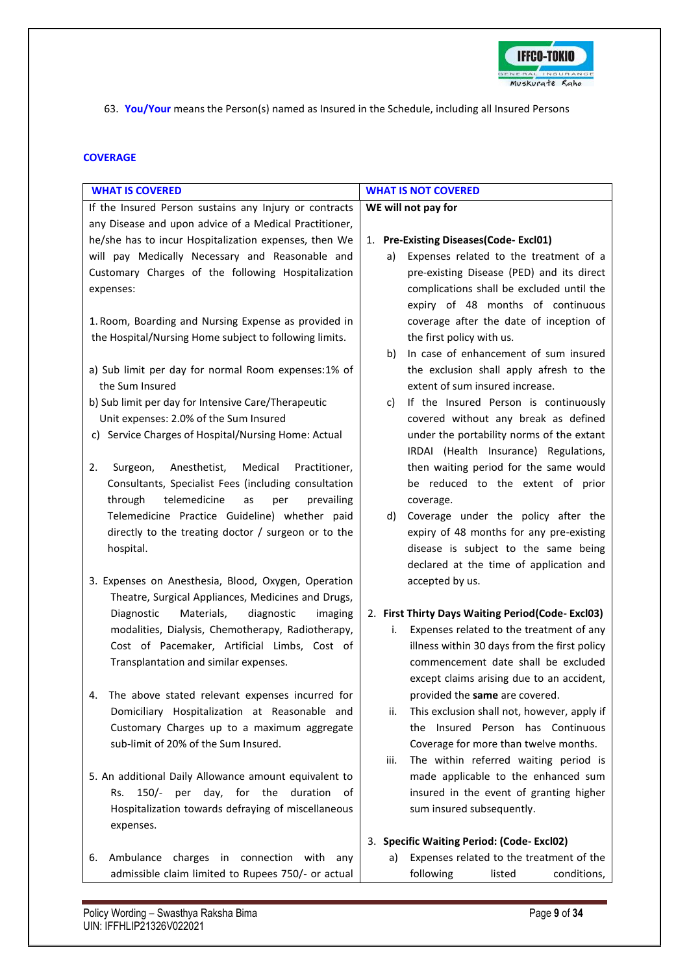

63. **You/Your** means the Person(s) named as Insured in the Schedule, including all Insured Persons

### **COVERAGE**

| <b>WHAT IS COVERED</b>                                     | <b>WHAT IS NOT COVERED</b>                                                         |
|------------------------------------------------------------|------------------------------------------------------------------------------------|
| If the Insured Person sustains any Injury or contracts     | WE will not pay for                                                                |
| any Disease and upon advice of a Medical Practitioner,     |                                                                                    |
| he/she has to incur Hospitalization expenses, then We      | 1. Pre-Existing Diseases(Code-Excl01)                                              |
| will pay Medically Necessary and Reasonable and            | Expenses related to the treatment of a<br>a)                                       |
| Customary Charges of the following Hospitalization         | pre-existing Disease (PED) and its direct                                          |
| expenses:                                                  | complications shall be excluded until the                                          |
|                                                            | expiry of 48 months of continuous                                                  |
| 1. Room, Boarding and Nursing Expense as provided in       | coverage after the date of inception of                                            |
| the Hospital/Nursing Home subject to following limits.     | the first policy with us.                                                          |
|                                                            | In case of enhancement of sum insured<br>b)                                        |
| a) Sub limit per day for normal Room expenses:1% of        | the exclusion shall apply afresh to the                                            |
| the Sum Insured                                            | extent of sum insured increase.                                                    |
| b) Sub limit per day for Intensive Care/Therapeutic        | If the Insured Person is continuously<br>C)                                        |
| Unit expenses: 2.0% of the Sum Insured                     | covered without any break as defined                                               |
| c) Service Charges of Hospital/Nursing Home: Actual        | under the portability norms of the extant<br>IRDAI (Health Insurance) Regulations, |
| 2.<br>Surgeon,<br>Anesthetist,<br>Medical<br>Practitioner, | then waiting period for the same would                                             |
| Consultants, Specialist Fees (including consultation       | be reduced to the extent of prior                                                  |
| through<br>telemedicine<br>prevailing<br>as<br>per         | coverage.                                                                          |
| Telemedicine Practice Guideline) whether paid              | Coverage under the policy after the<br>d)                                          |
| directly to the treating doctor / surgeon or to the        | expiry of 48 months for any pre-existing                                           |
| hospital.                                                  | disease is subject to the same being                                               |
|                                                            | declared at the time of application and                                            |
| 3. Expenses on Anesthesia, Blood, Oxygen, Operation        | accepted by us.                                                                    |
| Theatre, Surgical Appliances, Medicines and Drugs,         |                                                                                    |
| Diagnostic<br>Materials,<br>diagnostic<br>imaging          | 2. First Thirty Days Waiting Period(Code-Excl03)                                   |
| modalities, Dialysis, Chemotherapy, Radiotherapy,          | Expenses related to the treatment of any<br>i.                                     |
| Cost of Pacemaker, Artificial Limbs, Cost of               | illness within 30 days from the first policy                                       |
| Transplantation and similar expenses.                      | commencement date shall be excluded                                                |
|                                                            | except claims arising due to an accident,                                          |
| The above stated relevant expenses incurred for            | provided the same are covered.                                                     |
| Domiciliary Hospitalization at Reasonable and              | This exclusion shall not, however, apply if<br>ii.                                 |
| Customary Charges up to a maximum aggregate                | the Insured Person has Continuous                                                  |
| sub-limit of 20% of the Sum Insured.                       | Coverage for more than twelve months.                                              |
|                                                            | The within referred waiting period is<br>iii.                                      |
| 5. An additional Daily Allowance amount equivalent to      | made applicable to the enhanced sum                                                |
| 150/- per day, for the duration<br>Rs.<br>of .             | insured in the event of granting higher                                            |
| Hospitalization towards defraying of miscellaneous         | sum insured subsequently.                                                          |
| expenses.                                                  |                                                                                    |
|                                                            | 3. Specific Waiting Period: (Code-Excl02)                                          |
| Ambulance charges in connection with any<br>6.             | Expenses related to the treatment of the<br>a)                                     |
| admissible claim limited to Rupees 750/- or actual         | following<br>conditions,<br>listed                                                 |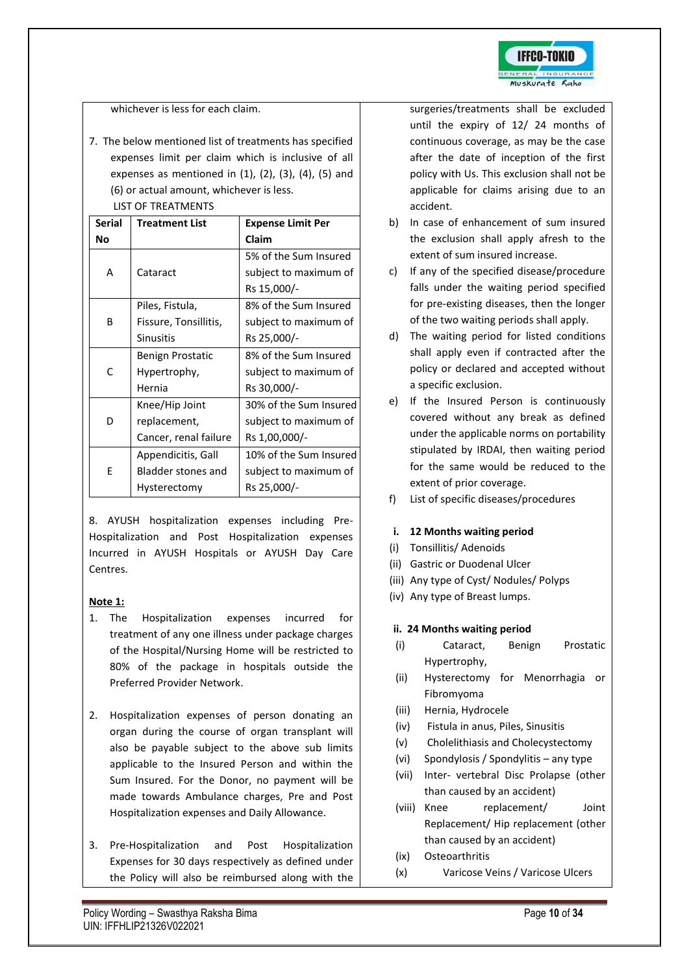

### whichever is less for each claim.

7. The below mentioned list of treatments has specified expenses limit per claim which is inclusive of all expenses as mentioned in  $(1)$ ,  $(2)$ ,  $(3)$ ,  $(4)$ ,  $(5)$  and (6) or actual amount, whichever is less. LIST OF TREATMENTS

| <b>Serial</b> | <b>Treatment List</b> | <b>Expense Limit Per</b> |
|---------------|-----------------------|--------------------------|
| Νo            |                       | Claim                    |
|               |                       | 5% of the Sum Insured    |
| А             | Cataract              | subject to maximum of    |
|               |                       | Rs 15,000/-              |
|               | Piles, Fistula,       | 8% of the Sum Insured    |
| B             | Fissure, Tonsillitis, | subject to maximum of    |
|               | <b>Sinusitis</b>      | Rs 25,000/-              |
|               | Benign Prostatic      | 8% of the Sum Insured    |
| C             | Hypertrophy,          | subject to maximum of    |
|               | Hernia                | Rs 30,000/-              |
|               | Knee/Hip Joint        | 30% of the Sum Insured   |
| D             | replacement,          | subject to maximum of    |
|               | Cancer, renal failure | Rs 1,00,000/-            |
|               | Appendicitis, Gall    | 10% of the Sum Insured   |
| E             | Bladder stones and    | subject to maximum of    |
|               | Hysterectomy          | Rs 25,000/-              |

8. AYUSH hospitalization expenses including Pre-Hospitalization and Post Hospitalization expenses Incurred in AYUSH Hospitals or AYUSH Day Care Centres.

### **Note 1:**

- 1. The Hospitalization expenses incurred for treatment of any one illness under package charges of the Hospital/Nursing Home will be restricted to 80% of the package in hospitals outside the Preferred Provider Network.
- 2. Hospitalization expenses of person donating an organ during the course of organ transplant will also be payable subject to the above sub limits applicable to the Insured Person and within the Sum Insured. For the Donor, no payment will be made towards Ambulance charges, Pre and Post Hospitalization expenses and Daily Allowance.
- 3. Pre-Hospitalization and Post Hospitalization Expenses for 30 days respectively as defined under the Policy will also be reimbursed along with the

surgeries/treatments shall be excluded until the expiry of 12/ 24 months of continuous coverage, as may be the case after the date of inception of the first policy with Us. This exclusion shall not be applicable for claims arising due to an accident.

- b) In case of enhancement of sum insured the exclusion shall apply afresh to the extent of sum insured increase.
- c) If any of the specified disease/procedure falls under the waiting period specified for pre-existing diseases, then the longer of the two waiting periods shall apply.
- d) The waiting period for listed conditions shall apply even if contracted after the policy or declared and accepted without a specific exclusion.
- e) If the Insured Person is continuously covered without any break as defined under the applicable norms on portability stipulated by IRDAI, then waiting period for the same would be reduced to the extent of prior coverage.
- f) List of specific diseases/procedures

### **i. 12 Months waiting period**

- (i) Tonsillitis/ Adenoids
- (ii) Gastric or Duodenal Ulcer
- (iii) Any type of Cyst/ Nodules/ Polyps
- (iv) Any type of Breast lumps.

### **ii. 24 Months waiting period**

- (i) Cataract, Benign Prostatic Hypertrophy,
- (ii) Hysterectomy for Menorrhagia or Fibromyoma
- (iii) Hernia, Hydrocele
- (iv) Fistula in anus, Piles, Sinusitis
- (v) Cholelithiasis and Cholecystectomy
- (vi) Spondylosis / Spondylitis any type
- (vii) Inter- vertebral Disc Prolapse (other than caused by an accident)
- (viii) Knee replacement/ Joint Replacement/ Hip replacement (other than caused by an accident)
- (ix) Osteoarthritis
- (x) Varicose Veins / Varicose Ulcers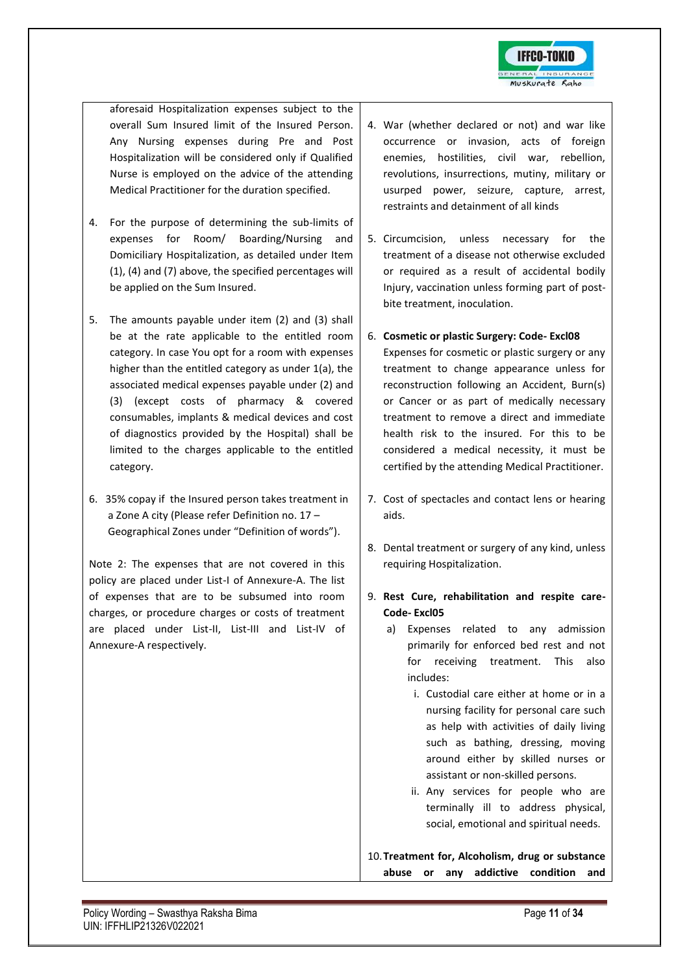

aforesaid Hospitalization expenses subject to the overall Sum Insured limit of the Insured Person. Any Nursing expenses during Pre and Post Hospitalization will be considered only if Qualified Nurse is employed on the advice of the attending Medical Practitioner for the duration specified.

- 4. For the purpose of determining the sub-limits of expenses for Room/ Boarding/Nursing and Domiciliary Hospitalization, as detailed under Item (1), (4) and (7) above, the specified percentages will be applied on the Sum Insured.
- 5. The amounts payable under item (2) and (3) shall be at the rate applicable to the entitled room category. In case You opt for a room with expenses higher than the entitled category as under 1(a), the associated medical expenses payable under (2) and (3) (except costs of pharmacy & covered consumables, implants & medical devices and cost of diagnostics provided by the Hospital) shall be limited to the charges applicable to the entitled category.
- 6. 35% copay if the Insured person takes treatment in a Zone A city (Please refer Definition no. 17 – Geographical Zones under "Definition of words").

Note 2: The expenses that are not covered in this policy are placed under List-I of Annexure-A. The list of expenses that are to be subsumed into room charges, or procedure charges or costs of treatment are placed under List-II, List-III and List-IV of Annexure-A respectively.

- 4. War (whether declared or not) and war like occurrence or invasion, acts of foreign enemies, hostilities, civil war, rebellion, revolutions, insurrections, mutiny, military or usurped power, seizure, capture, arrest, restraints and detainment of all kinds
- 5. Circumcision, unless necessary for the treatment of a disease not otherwise excluded or required as a result of accidental bodily Injury, vaccination unless forming part of postbite treatment, inoculation.
- 6. **Cosmetic or plastic Surgery: Code- Excl08**  Expenses for cosmetic or plastic surgery or any treatment to change appearance unless for reconstruction following an Accident, Burn(s) or Cancer or as part of medically necessary treatment to remove a direct and immediate health risk to the insured. For this to be considered a medical necessity, it must be certified by the attending Medical Practitioner.
- 7. Cost of spectacles and contact lens or hearing aids.
- 8. Dental treatment or surgery of any kind, unless requiring Hospitalization.
- 9. **Rest Cure, rehabilitation and respite care-Code- Excl05**
	- a) Expenses related to any admission primarily for enforced bed rest and not for receiving treatment. This also includes:
		- i. Custodial care either at home or in a nursing facility for personal care such as help with activities of daily living such as bathing, dressing, moving around either by skilled nurses or assistant or non-skilled persons.
		- ii. Any services for people who are terminally ill to address physical, social, emotional and spiritual needs.

10.**Treatment for, Alcoholism, drug or substance abuse or any addictive condition and**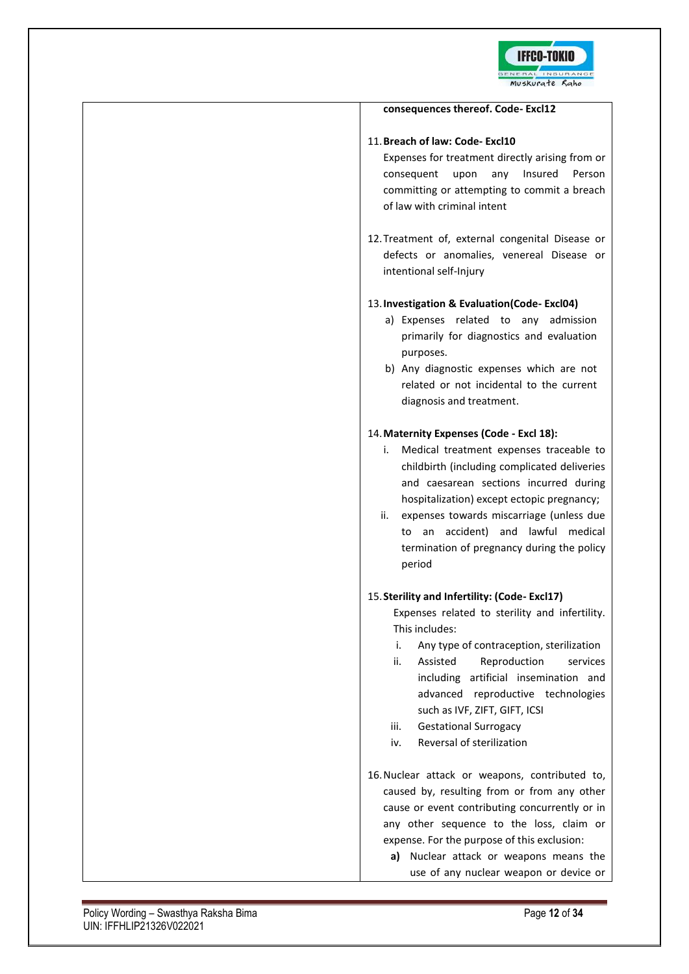

| consequences thereof. Code-Excl12                                                                                                                                                                                                                                                                                                                                                                             |
|---------------------------------------------------------------------------------------------------------------------------------------------------------------------------------------------------------------------------------------------------------------------------------------------------------------------------------------------------------------------------------------------------------------|
| 11. Breach of law: Code- Excl10<br>Expenses for treatment directly arising from or<br>upon any Insured<br>Person<br>consequent<br>committing or attempting to commit a breach<br>of law with criminal intent                                                                                                                                                                                                  |
| 12. Treatment of, external congenital Disease or<br>defects or anomalies, venereal Disease or<br>intentional self-Injury                                                                                                                                                                                                                                                                                      |
| 13. Investigation & Evaluation(Code-Excl04)<br>Expenses related<br>to any admission<br>a)<br>primarily for diagnostics and evaluation<br>purposes.<br>b) Any diagnostic expenses which are not<br>related or not incidental to the current<br>diagnosis and treatment.                                                                                                                                        |
| 14. Maternity Expenses (Code - Excl 18):<br>Medical treatment expenses traceable to<br>i.<br>childbirth (including complicated deliveries<br>and caesarean sections incurred during<br>hospitalization) except ectopic pregnancy;<br>ii.<br>expenses towards miscarriage (unless due<br>an accident) and lawful medical<br>to<br>termination of pregnancy during the policy<br>period                         |
| 15. Sterility and Infertility: (Code-Excl17)<br>Expenses related to sterility and infertility.<br>This includes:<br>Any type of contraception, sterilization<br>i.<br>ii.<br>Reproduction<br>Assisted<br>services<br>including artificial insemination and<br>advanced reproductive technologies<br>such as IVF, ZIFT, GIFT, ICSI<br>iii.<br><b>Gestational Surrogacy</b><br>Reversal of sterilization<br>iv. |
| 16. Nuclear attack or weapons, contributed to,<br>caused by, resulting from or from any other<br>cause or event contributing concurrently or in<br>any other sequence to the loss, claim or<br>expense. For the purpose of this exclusion:<br>Nuclear attack or weapons means the<br>a) -<br>use of any nuclear weapon or device or                                                                           |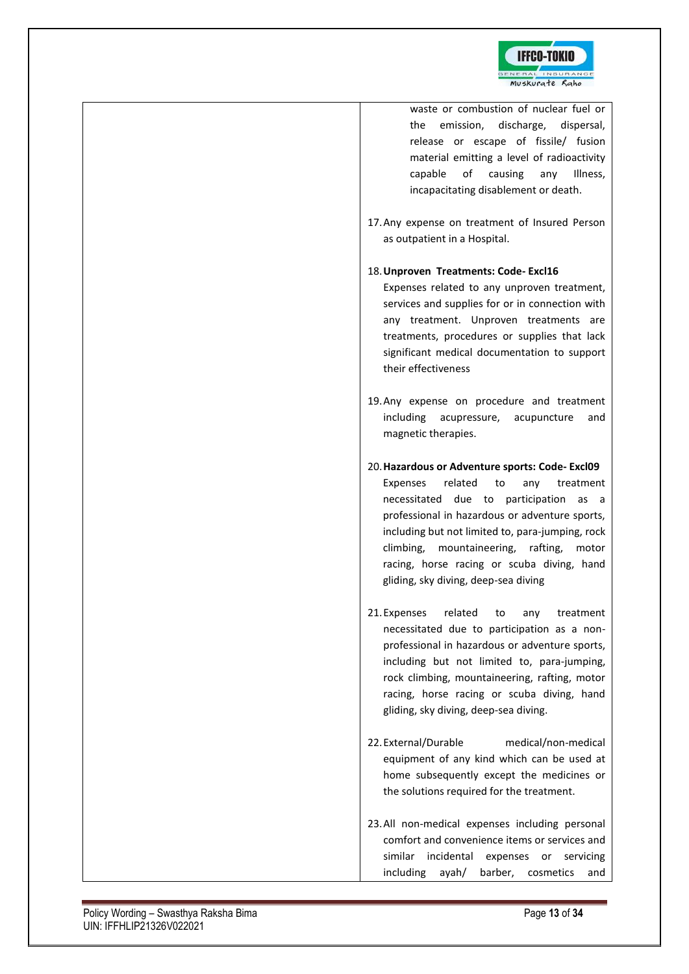

| waste or combustion of nuclear fuel or<br>emission,<br>discharge,<br>the<br>dispersal,<br>release or escape of fissile/ fusion<br>material emitting a level of radioactivity<br>of<br>causing<br>Illness,<br>capable<br>any<br>incapacitating disablement or death.                                                                                                                        |
|--------------------------------------------------------------------------------------------------------------------------------------------------------------------------------------------------------------------------------------------------------------------------------------------------------------------------------------------------------------------------------------------|
| 17. Any expense on treatment of Insured Person<br>as outpatient in a Hospital.                                                                                                                                                                                                                                                                                                             |
| 18. Unproven Treatments: Code-Excl16<br>Expenses related to any unproven treatment,<br>services and supplies for or in connection with<br>any treatment. Unproven treatments are<br>treatments, procedures or supplies that lack<br>significant medical documentation to support<br>their effectiveness                                                                                    |
| 19. Any expense on procedure and treatment<br>including acupressure,<br>acupuncture<br>and<br>magnetic therapies.                                                                                                                                                                                                                                                                          |
| 20. Hazardous or Adventure sports: Code-Excl09<br>Expenses<br>related<br>treatment<br>to<br>any<br>necessitated due to participation<br>as a<br>professional in hazardous or adventure sports,<br>including but not limited to, para-jumping, rock<br>mountaineering, rafting,<br>climbing,<br>motor<br>racing, horse racing or scuba diving, hand<br>gliding, sky diving, deep-sea diving |
| related to<br>21. Expenses<br>any<br>treatment<br>necessitated due to participation as a non-<br>professional in hazardous or adventure sports,<br>including but not limited to, para-jumping,<br>rock climbing, mountaineering, rafting, motor<br>racing, horse racing or scuba diving, hand<br>gliding, sky diving, deep-sea diving.                                                     |
| 22. External/Durable<br>medical/non-medical<br>equipment of any kind which can be used at<br>home subsequently except the medicines or<br>the solutions required for the treatment.                                                                                                                                                                                                        |
| 23. All non-medical expenses including personal<br>comfort and convenience items or services and<br>similar incidental<br>expenses or<br>servicing<br>including<br>ayah/<br>barber,<br>cosmetics<br>and                                                                                                                                                                                    |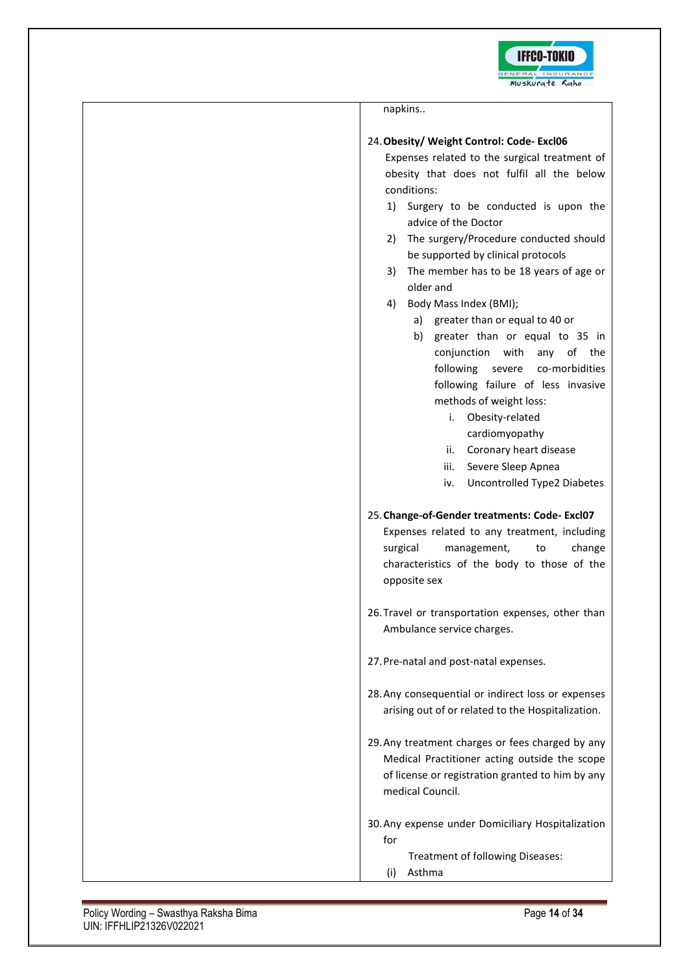

| napkins                                                                                                                                                                                                                                                                                    |
|--------------------------------------------------------------------------------------------------------------------------------------------------------------------------------------------------------------------------------------------------------------------------------------------|
| 24. Obesity/ Weight Control: Code- Excl06<br>Expenses related to the surgical treatment of<br>obesity that does not fulfil all the below<br>conditions:<br>Surgery to be conducted is upon the<br>1)                                                                                       |
| advice of the Doctor<br>The surgery/Procedure conducted should<br>2)<br>be supported by clinical protocols<br>The member has to be 18 years of age or<br>3)<br>older and                                                                                                                   |
| Body Mass Index (BMI);<br>4)<br>a) greater than or equal to 40 or<br>greater than or equal to 35 in<br>b)<br>conjunction with any of the<br>following severe<br>co-morbidities<br>following failure of less invasive<br>methods of weight loss:<br>Obesity-related<br>i.<br>cardiomyopathy |
| Coronary heart disease<br>ii.<br>Severe Sleep Apnea<br>iii.<br>Uncontrolled Type2 Diabetes<br>iv.                                                                                                                                                                                          |
| 25. Change-of-Gender treatments: Code-Excl07<br>Expenses related to any treatment, including<br>surgical<br>change<br>management,<br>to<br>characteristics of the body to those of the<br>opposite sex                                                                                     |
| 26. Travel or transportation expenses, other than<br>Ambulance service charges.                                                                                                                                                                                                            |
| 27. Pre-natal and post-natal expenses.                                                                                                                                                                                                                                                     |
| 28. Any consequential or indirect loss or expenses<br>arising out of or related to the Hospitalization.                                                                                                                                                                                    |
| 29. Any treatment charges or fees charged by any<br>Medical Practitioner acting outside the scope<br>of license or registration granted to him by any<br>medical Council.                                                                                                                  |
| 30. Any expense under Domiciliary Hospitalization<br>for<br>Treatment of following Diseases:<br>Asthma<br>(i)                                                                                                                                                                              |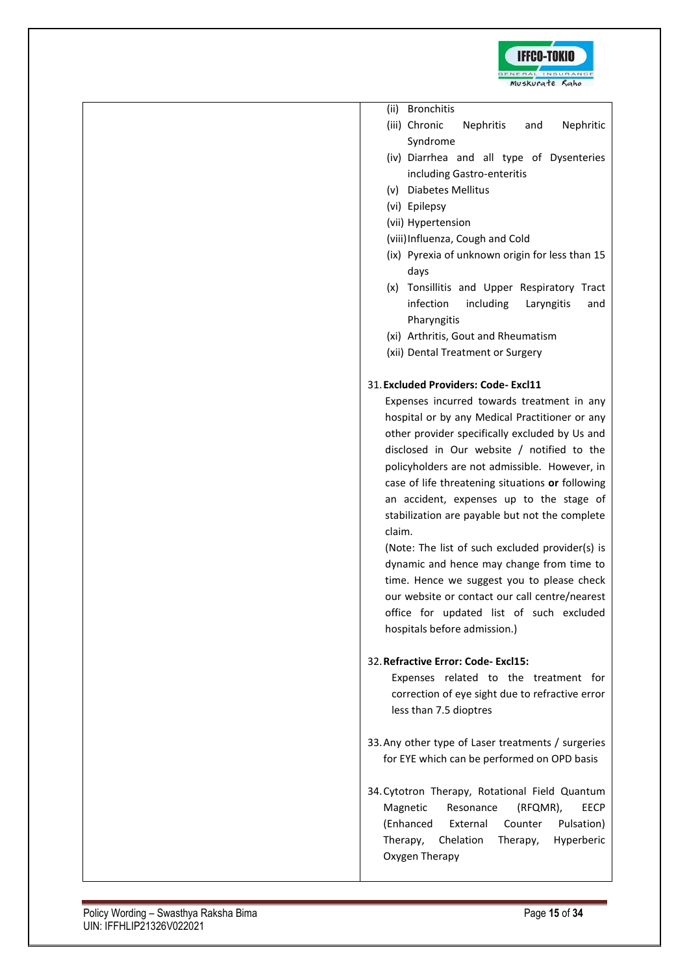

- (iii) Chronic Nephritis and Nephritic Syndrome
- (iv) Diarrhea and all type of Dysenteries including Gastro-enteritis
- (v) Diabetes Mellitus
- (vi) Epilepsy
- (vii) Hypertension
- (viii)Influenza, Cough and Cold
- (ix) Pyrexia of unknown origin for less than 15 days
- (x) Tonsillitis and Upper Respiratory Tract infection including Laryngitis and Pharyngitis
- (xi) Arthritis, Gout and Rheumatism
- (xii) Dental Treatment or Surgery

### 31.**Excluded Providers: Code- Excl11**

Expenses incurred towards treatment in any hospital or by any Medical Practitioner or any other provider specifically excluded by Us and disclosed in Our website / notified to the policyholders are not admissible. However, in case of life threatening situations **or** following an accident, expenses up to the stage of stabilization are payable but not the complete claim.

(Note: The list of such excluded provider(s) is dynamic and hence may change from time to time. Hence we suggest you to please check our website or contact our call centre/nearest office for updated list of such excluded hospitals before admission.)

### 32.**Refractive Error: Code- Excl15:**

Expenses related to the treatment for correction of eye sight due to refractive error less than 7.5 dioptres

- 33.Any other type of Laser treatments / surgeries for EYE which can be performed on OPD basis
- 34.Cytotron Therapy, Rotational Field Quantum Magnetic Resonance (RFQMR), EECP (Enhanced External Counter Pulsation) Therapy, Chelation Therapy, Hyperberic Oxygen Therapy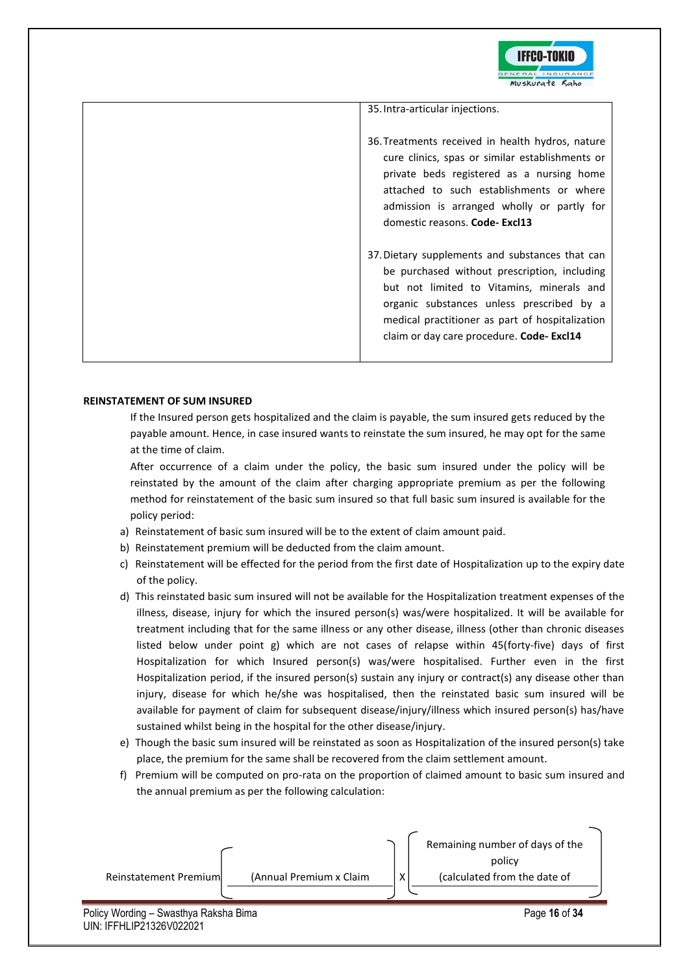

| 35. Intra-articular injections.                                                                                                                                                                                                                                                          |
|------------------------------------------------------------------------------------------------------------------------------------------------------------------------------------------------------------------------------------------------------------------------------------------|
| 36. Treatments received in health hydros, nature<br>cure clinics, spas or similar establishments or<br>private beds registered as a nursing home<br>attached to such establishments or where<br>admission is arranged wholly or partly for<br>domestic reasons. Code-Excl13              |
| 37. Dietary supplements and substances that can<br>be purchased without prescription, including<br>but not limited to Vitamins, minerals and<br>organic substances unless prescribed by a<br>medical practitioner as part of hospitalization<br>claim or day care procedure. Code-Excl14 |

### **REINSTATEMENT OF SUM INSURED**

If the Insured person gets hospitalized and the claim is payable, the sum insured gets reduced by the payable amount. Hence, in case insured wants to reinstate the sum insured, he may opt for the same at the time of claim.

After occurrence of a claim under the policy, the basic sum insured under the policy will be reinstated by the amount of the claim after charging appropriate premium as per the following method for reinstatement of the basic sum insured so that full basic sum insured is available for the policy period:

- a) Reinstatement of basic sum insured will be to the extent of claim amount paid.
- b) Reinstatement premium will be deducted from the claim amount.
- c) Reinstatement will be effected for the period from the first date of Hospitalization up to the expiry date of the policy.
- d) This reinstated basic sum insured will not be available for the Hospitalization treatment expenses of the illness, disease, injury for which the insured person(s) was/were hospitalized. It will be available for treatment including that for the same illness or any other disease, illness (other than chronic diseases listed below under point g) which are not cases of relapse within 45(forty-five) days of first Hospitalization for which Insured person(s) was/were hospitalised. Further even in the first Hospitalization period, if the insured person(s) sustain any injury or contract(s) any disease other than injury, disease for which he/she was hospitalised, then the reinstated basic sum insured will be available for payment of claim for subsequent disease/injury/illness which insured person(s) has/have sustained whilst being in the hospital for the other disease/injury.
- e) Though the basic sum insured will be reinstated as soon as Hospitalization of the insured person(s) take place, the premium for the same shall be recovered from the claim settlement amount.
- f) Premium will be computed on pro-rata on the proportion of claimed amount to basic sum insured and the annual premium as per the following calculation:

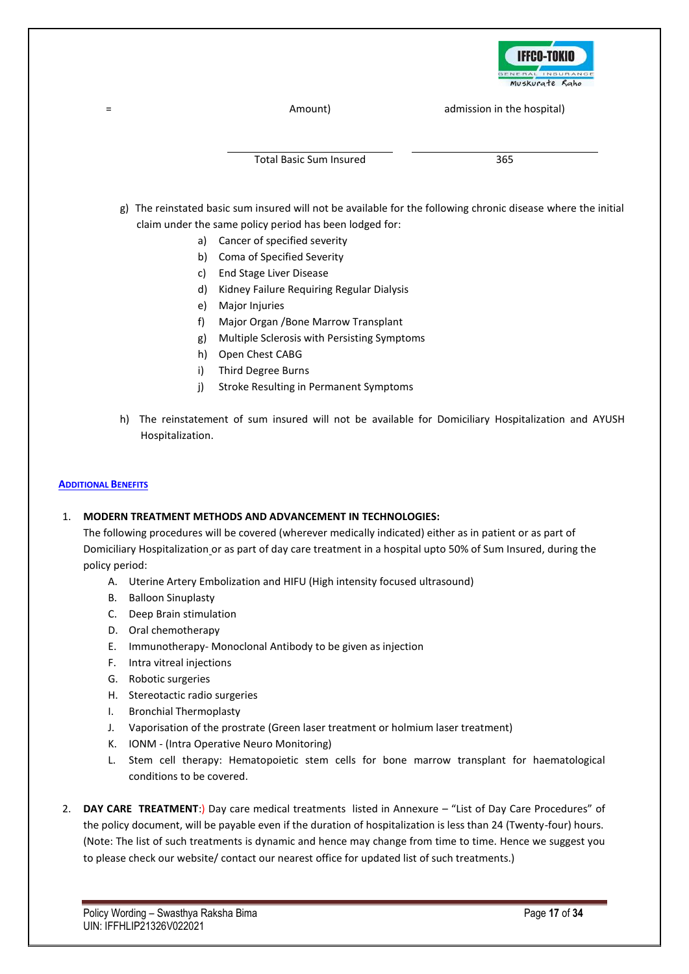

= Amount) admission in the hospital)

Total Basic Sum Insured 365

- g) The reinstated basic sum insured will not be available for the following chronic disease where the initial claim under the same policy period has been lodged for:
	- a) Cancer of specified severity
	- b) Coma of Specified Severity
	- c) End Stage Liver Disease
	- d) Kidney Failure Requiring Regular Dialysis
	- e) Major Injuries
	- f) Major Organ /Bone Marrow Transplant
	- g) Multiple Sclerosis with Persisting Symptoms
	- h) Open Chest CABG
	- i) Third Degree Burns
	- j) Stroke Resulting in Permanent Symptoms
- h) The reinstatement of sum insured will not be available for Domiciliary Hospitalization and AYUSH Hospitalization.

### **ADDITIONAL BENEFITS**

### 1. **MODERN TREATMENT METHODS AND ADVANCEMENT IN TECHNOLOGIES:**

The following procedures will be covered (wherever medically indicated) either as in patient or as part of Domiciliary Hospitalization or as part of day care treatment in a hospital upto 50% of Sum Insured, during the policy period:

- A. Uterine Artery Embolization and HIFU (High intensity focused ultrasound)
- B. Balloon Sinuplasty
- C. Deep Brain stimulation
- D. Oral chemotherapy
- E. Immunotherapy- Monoclonal Antibody to be given as injection
- F. Intra vitreal injections
- G. Robotic surgeries
- H. Stereotactic radio surgeries
- I. Bronchial Thermoplasty
- J. Vaporisation of the prostrate (Green laser treatment or holmium laser treatment)
- K. IONM (Intra Operative Neuro Monitoring)
- L. Stem cell therapy: Hematopoietic stem cells for bone marrow transplant for haematological conditions to be covered.
- 2. **DAY CARE TREATMENT**:) Day care medical treatments listed in Annexure "List of Day Care Procedures" of the policy document, will be payable even if the duration of hospitalization is less than 24 (Twenty-four) hours. (Note: The list of such treatments is dynamic and hence may change from time to time. Hence we suggest you to please check our website/ contact our nearest office for updated list of such treatments.)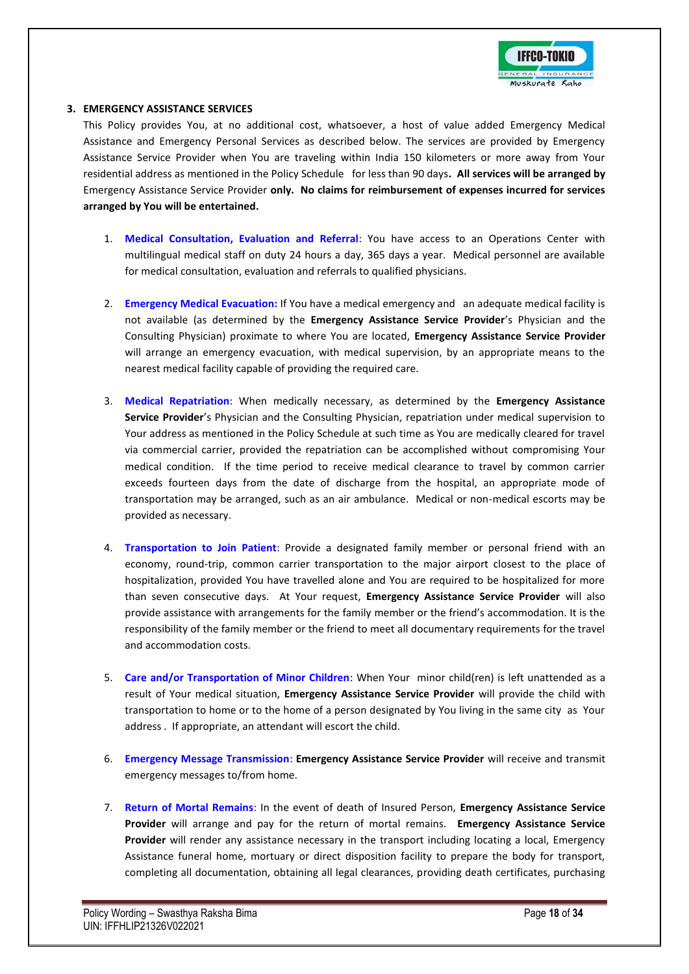

#### **3. EMERGENCY ASSISTANCE SERVICES**

This Policy provides You, at no additional cost, whatsoever, a host of value added Emergency Medical Assistance and Emergency Personal Services as described below. The services are provided by Emergency Assistance Service Provider when You are traveling within India 150 kilometers or more away from Your residential address as mentioned in the Policy Schedule for less than 90 days**. All services will be arranged by**  Emergency Assistance Service Provider **only. No claims for reimbursement of expenses incurred for services arranged by You will be entertained.**

- 1. **Medical Consultation, Evaluation and Referral**: You have access to an Operations Center with multilingual medical staff on duty 24 hours a day, 365 days a year. Medical personnel are available for medical consultation, evaluation and referrals to qualified physicians.
- 2. **Emergency Medical Evacuation:** If You have a medical emergency and an adequate medical facility is not available (as determined by the **Emergency Assistance Service Provider**'s Physician and the Consulting Physician) proximate to where You are located, **Emergency Assistance Service Provider** will arrange an emergency evacuation, with medical supervision, by an appropriate means to the nearest medical facility capable of providing the required care.
- 3. **Medical Repatriation**: When medically necessary, as determined by the **Emergency Assistance Service Provider**'s Physician and the Consulting Physician, repatriation under medical supervision to Your address as mentioned in the Policy Schedule at such time as You are medically cleared for travel via commercial carrier, provided the repatriation can be accomplished without compromising Your medical condition. If the time period to receive medical clearance to travel by common carrier exceeds fourteen days from the date of discharge from the hospital, an appropriate mode of transportation may be arranged, such as an air ambulance. Medical or non-medical escorts may be provided as necessary.
- 4. **Transportation to Join Patient**: Provide a designated family member or personal friend with an economy, round-trip, common carrier transportation to the major airport closest to the place of hospitalization, provided You have travelled alone and You are required to be hospitalized for more than seven consecutive days. At Your request, **Emergency Assistance Service Provider** will also provide assistance with arrangements for the family member or the friend's accommodation. It is the responsibility of the family member or the friend to meet all documentary requirements for the travel and accommodation costs.
- 5. **Care and/or Transportation of Minor Children**: When Your minor child(ren) is left unattended as a result of Your medical situation, **Emergency Assistance Service Provider** will provide the child with transportation to home or to the home of a person designated by You living in the same city as Your address . If appropriate, an attendant will escort the child.
- 6. **Emergency Message Transmission**: **Emergency Assistance Service Provider** will receive and transmit emergency messages to/from home.
- 7. **Return of Mortal Remains**: In the event of death of Insured Person, **Emergency Assistance Service Provider** will arrange and pay for the return of mortal remains. **Emergency Assistance Service Provider** will render any assistance necessary in the transport including locating a local, Emergency Assistance funeral home, mortuary or direct disposition facility to prepare the body for transport, completing all documentation, obtaining all legal clearances, providing death certificates, purchasing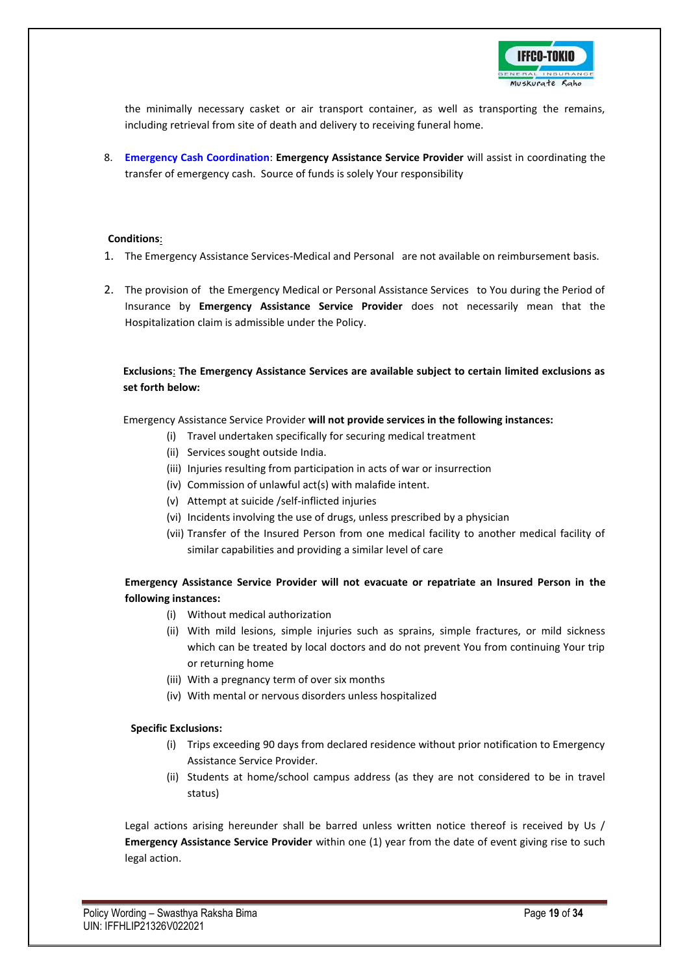

the minimally necessary casket or air transport container, as well as transporting the remains, including retrieval from site of death and delivery to receiving funeral home.

8. **Emergency Cash Coordination**: **Emergency Assistance Service Provider** will assist in coordinating the transfer of emergency cash. Source of funds is solely Your responsibility

#### **Conditions**:

- 1. The Emergency Assistance Services-Medical and Personal are not available on reimbursement basis.
- 2. The provision of the Emergency Medical or Personal Assistance Services to You during the Period of Insurance by **Emergency Assistance Service Provider** does not necessarily mean that the Hospitalization claim is admissible under the Policy.

**Exclusions**: **The Emergency Assistance Services are available subject to certain limited exclusions as set forth below:**

Emergency Assistance Service Provider **will not provide services in the following instances:** 

- (i) Travel undertaken specifically for securing medical treatment
- (ii) Services sought outside India.
- (iii) Injuries resulting from participation in acts of war or insurrection
- (iv) Commission of unlawful act(s) with malafide intent.
- (v) Attempt at suicide /self-inflicted injuries
- (vi) Incidents involving the use of drugs, unless prescribed by a physician
- (vii) Transfer of the Insured Person from one medical facility to another medical facility of similar capabilities and providing a similar level of care

### **Emergency Assistance Service Provider will not evacuate or repatriate an Insured Person in the following instances:**

- (i) Without medical authorization
- (ii) With mild lesions, simple injuries such as sprains, simple fractures, or mild sickness which can be treated by local doctors and do not prevent You from continuing Your trip or returning home
- (iii) With a pregnancy term of over six months
- (iv) With mental or nervous disorders unless hospitalized

#### **Specific Exclusions:**

- (i) Trips exceeding 90 days from declared residence without prior notification to Emergency Assistance Service Provider.
- (ii) Students at home/school campus address (as they are not considered to be in travel status)

Legal actions arising hereunder shall be barred unless written notice thereof is received by Us / **Emergency Assistance Service Provider** within one (1) year from the date of event giving rise to such legal action.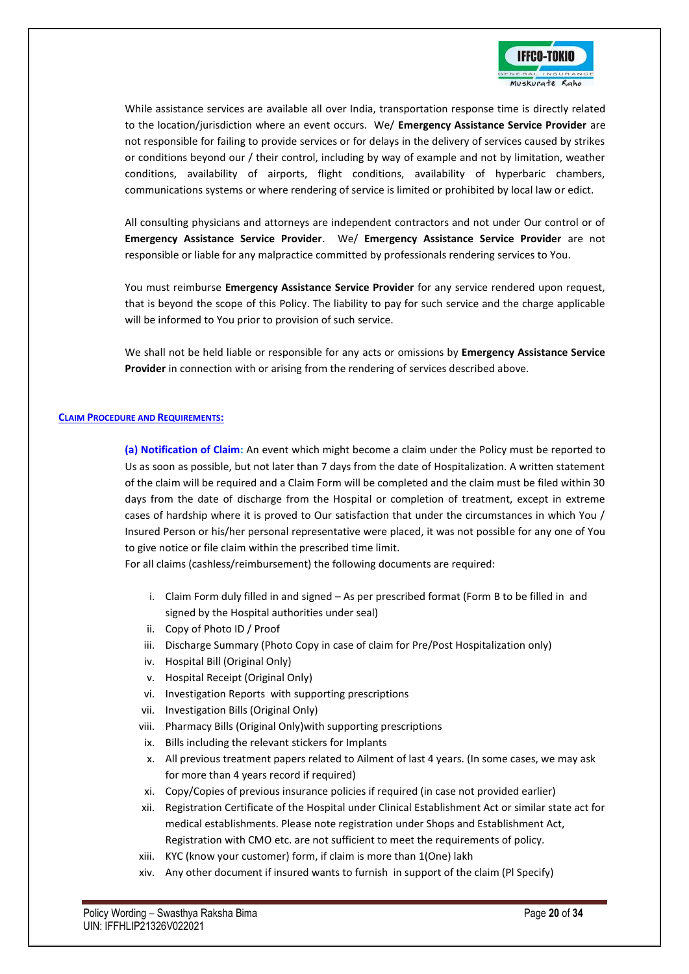

While assistance services are available all over India, transportation response time is directly related to the location/jurisdiction where an event occurs. We/ **Emergency Assistance Service Provider** are not responsible for failing to provide services or for delays in the delivery of services caused by strikes or conditions beyond our / their control, including by way of example and not by limitation, weather conditions, availability of airports, flight conditions, availability of hyperbaric chambers, communications systems or where rendering of service is limited or prohibited by local law or edict.

All consulting physicians and attorneys are independent contractors and not under Our control or of **Emergency Assistance Service Provider**. We/ **Emergency Assistance Service Provider** are not responsible or liable for any malpractice committed by professionals rendering services to You.

You must reimburse **Emergency Assistance Service Provider** for any service rendered upon request, that is beyond the scope of this Policy. The liability to pay for such service and the charge applicable will be informed to You prior to provision of such service.

We shall not be held liable or responsible for any acts or omissions by **Emergency Assistance Service Provider** in connection with or arising from the rendering of services described above.

#### **CLAIM PROCEDURE AND REQUIREMENTS:**

**(a) Notification of Claim:** An event which might become a claim under the Policy must be reported to Us as soon as possible, but not later than 7 days from the date of Hospitalization. A written statement of the claim will be required and a Claim Form will be completed and the claim must be filed within 30 days from the date of discharge from the Hospital or completion of treatment, except in extreme cases of hardship where it is proved to Our satisfaction that under the circumstances in which You / Insured Person or his/her personal representative were placed, it was not possible for any one of You to give notice or file claim within the prescribed time limit.

For all claims (cashless/reimbursement) the following documents are required:

- i. Claim Form duly filled in and signed As per prescribed format (Form B to be filled in and signed by the Hospital authorities under seal)
- ii. Copy of Photo ID / Proof
- iii. Discharge Summary (Photo Copy in case of claim for Pre/Post Hospitalization only)
- iv. Hospital Bill (Original Only)
- v. Hospital Receipt (Original Only)
- vi. Investigation Reports with supporting prescriptions
- vii. Investigation Bills (Original Only)
- viii. Pharmacy Bills (Original Only)with supporting prescriptions
- ix. Bills including the relevant stickers for Implants
- x. All previous treatment papers related to Ailment of last 4 years. (In some cases, we may ask for more than 4 years record if required)
- xi. Copy/Copies of previous insurance policies if required (in case not provided earlier)
- xii. Registration Certificate of the Hospital under Clinical Establishment Act or similar state act for medical establishments. Please note registration under Shops and Establishment Act, Registration with CMO etc. are not sufficient to meet the requirements of policy.
- xiii. KYC (know your customer) form, if claim is more than 1(One) lakh
- xiv. Any other document if insured wants to furnish in support of the claim (Pl Specify)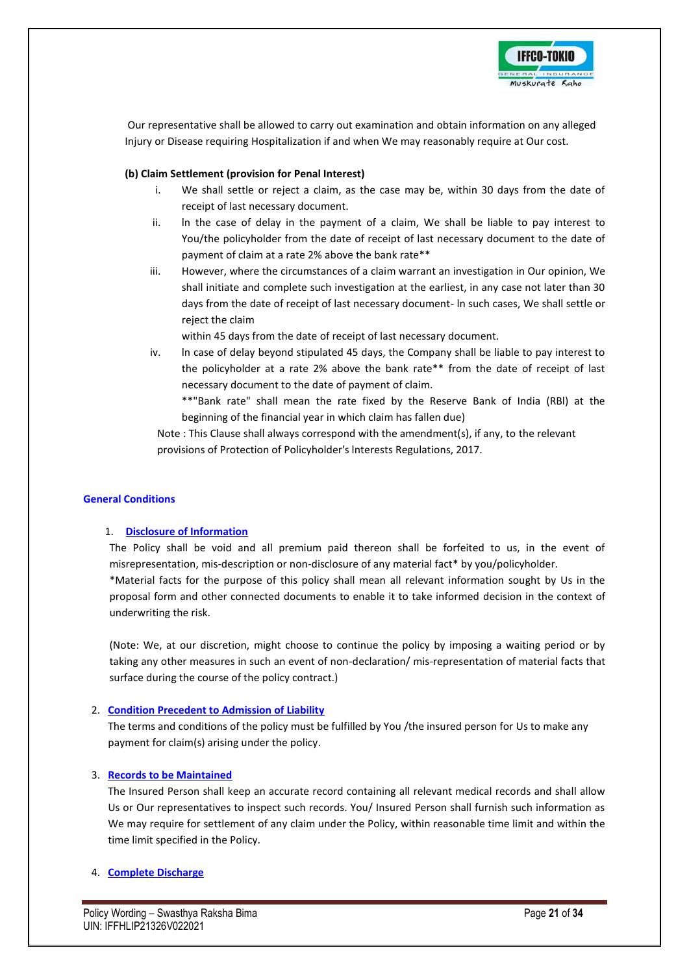

Our representative shall be allowed to carry out examination and obtain information on any alleged Injury or Disease requiring Hospitalization if and when We may reasonably require at Our cost.

### **(b) Claim Settlement (provision for Penal Interest)**

- i. We shall settle or reject a claim, as the case may be, within 30 days from the date of receipt of last necessary document.
- ii. ln the case of delay in the payment of a claim, We shall be liable to pay interest to You/the policyholder from the date of receipt of last necessary document to the date of payment of claim at a rate 2% above the bank rate\*\*
- iii. However, where the circumstances of a claim warrant an investigation in Our opinion, We shall initiate and complete such investigation at the earliest, in any case not later than 30 days from the date of receipt of last necessary document- ln such cases, We shall settle or reject the claim

within 45 days from the date of receipt of last necessary document.

- iv. ln case of delay beyond stipulated 45 days, the Company shall be liable to pay interest to the policyholder at a rate 2% above the bank rate\*\* from the date of receipt of last necessary document to the date of payment of claim.
	- \*\*"Bank rate" shall mean the rate fixed by the Reserve Bank of India (RBl) at the beginning of the financial year in which claim has fallen due)

Note : This Clause shall always correspond with the amendment(s), if any, to the relevant provisions of Protection of Policyholder's lnterests Regulations, 2017.

### **General Conditions**

### 1. **Disclosure of Information**

The Policy shall be void and all premium paid thereon shall be forfeited to us, in the event of misrepresentation, mis-description or non-disclosure of any material fact\* by you/policyholder.

\*Material facts for the purpose of this policy shall mean all relevant information sought by Us in the proposal form and other connected documents to enable it to take informed decision in the context of underwriting the risk.

(Note: We, at our discretion, might choose to continue the policy by imposing a waiting period or by taking any other measures in such an event of non-declaration/ mis-representation of material facts that surface during the course of the policy contract.)

### 2. **Condition Precedent to Admission of Liability**

The terms and conditions of the policy must be fulfilled by You /the insured person for Us to make any payment for claim(s) arising under the policy.

### 3. **Records to be Maintained**

The Insured Person shall keep an accurate record containing all relevant medical records and shall allow Us or Our representatives to inspect such records. You/ Insured Person shall furnish such information as We may require for settlement of any claim under the Policy, within reasonable time limit and within the time limit specified in the Policy.

### 4. **Complete Discharge**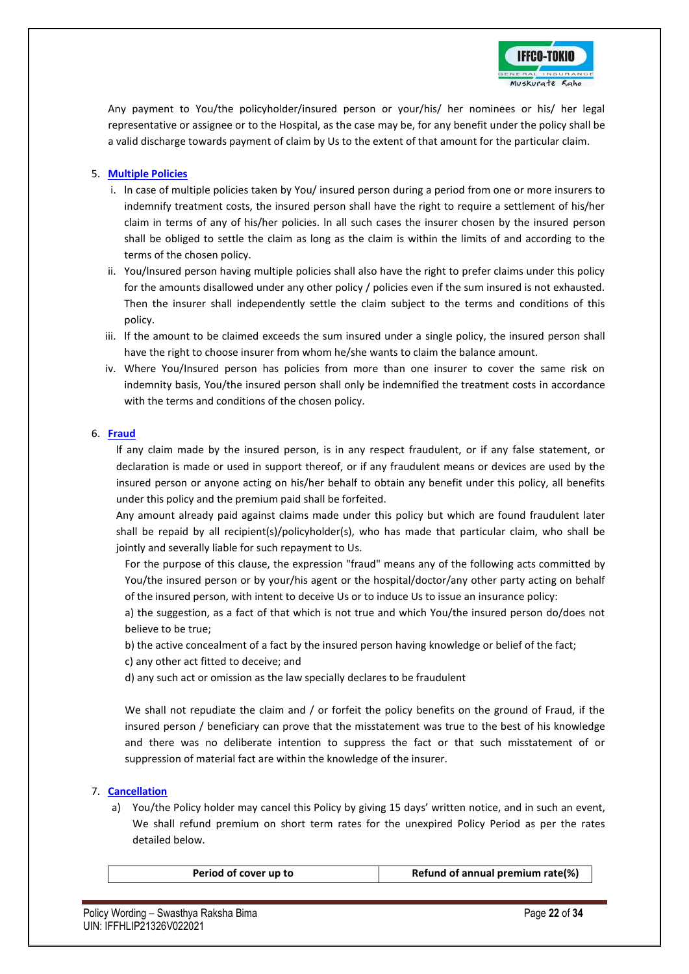

Any payment to You/the policyholder/insured person or your/his/ her nominees or his/ her legal representative or assignee or to the Hospital, as the case may be, for any benefit under the policy shall be a valid discharge towards payment of claim by Us to the extent of that amount for the particular claim.

### 5. **Multiple Policies**

- i. ln case of multiple policies taken by You/ insured person during a period from one or more insurers to indemnify treatment costs, the insured person shall have the right to require a settlement of his/her claim in terms of any of his/her policies. ln all such cases the insurer chosen by the insured person shall be obliged to settle the claim as long as the claim is within the limits of and according to the terms of the chosen policy.
- ii. You/lnsured person having multiple policies shall also have the right to prefer claims under this policy for the amounts disallowed under any other policy / policies even if the sum insured is not exhausted. Then the insurer shall independently settle the claim subject to the terms and conditions of this policy.
- iii. lf the amount to be claimed exceeds the sum insured under a single policy, the insured person shall have the right to choose insurer from whom he/she wants to claim the balance amount.
- iv. Where You/Insured person has policies from more than one insurer to cover the same risk on indemnity basis, You/the insured person shall only be indemnified the treatment costs in accordance with the terms and conditions of the chosen policy.

### 6. **Fraud**

lf any claim made by the insured person, is in any respect fraudulent, or if any false statement, or declaration is made or used in support thereof, or if any fraudulent means or devices are used by the insured person or anyone acting on his/her behalf to obtain any benefit under this policy, all benefits under this policy and the premium paid shall be forfeited.

Any amount already paid against claims made under this policy but which are found fraudulent later shall be repaid by all recipient(s)/policyholder(s), who has made that particular claim, who shall be jointly and severally liable for such repayment to Us.

For the purpose of this clause, the expression "fraud" means any of the following acts committed by You/the insured person or by your/his agent or the hospital/doctor/any other party acting on behalf of the insured person, with intent to deceive Us or to induce Us to issue an insurance policy:

a) the suggestion, as a fact of that which is not true and which You/the insured person do/does not believe to be true;

b) the active concealment of a fact by the insured person having knowledge or belief of the fact; c) any other act fitted to deceive; and

d) any such act or omission as the law specially declares to be fraudulent

We shall not repudiate the claim and / or forfeit the policy benefits on the ground of Fraud, if the insured person / beneficiary can prove that the misstatement was true to the best of his knowledge and there was no deliberate intention to suppress the fact or that such misstatement of or suppression of material fact are within the knowledge of the insurer.

### 7. **Cancellation**

a) You/the Policy holder may cancel this Policy by giving 15 days' written notice, and in such an event, We shall refund premium on short term rates for the unexpired Policy Period as per the rates detailed below.

| Period of cover up to | Refund of annual premium rate(%) |
|-----------------------|----------------------------------|
|                       |                                  |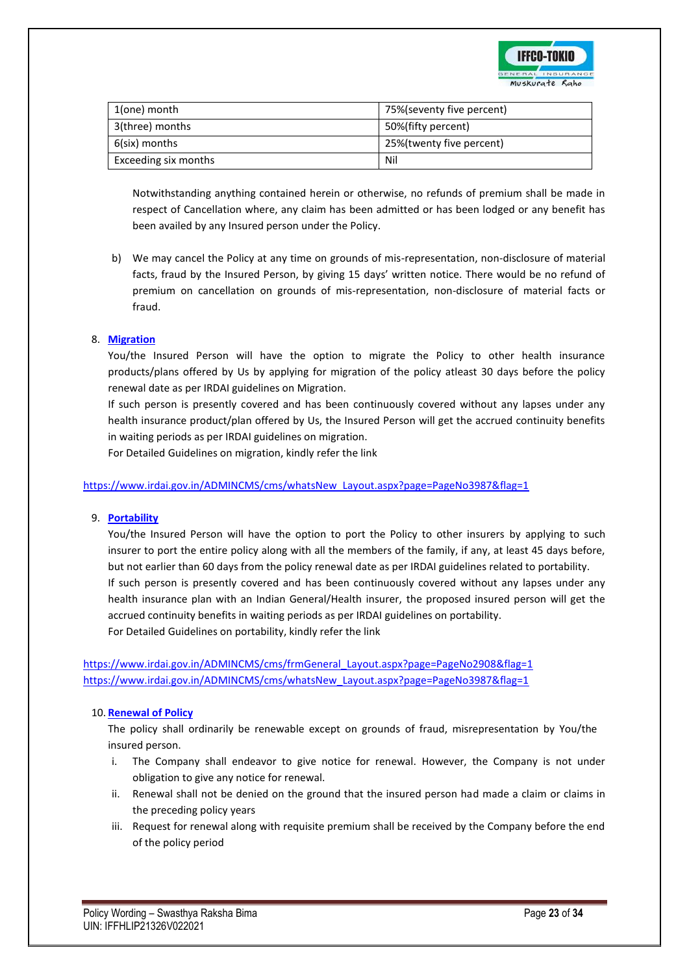

| 1(one) month         | 75%(seventy five percent) |
|----------------------|---------------------------|
| 3(three) months      | 50%(fifty percent)        |
| 6(six) months        | 25%(twenty five percent)  |
| Exceeding six months | Nil                       |

Notwithstanding anything contained herein or otherwise, no refunds of premium shall be made in respect of Cancellation where, any claim has been admitted or has been lodged or any benefit has been availed by any Insured person under the Policy.

b) We may cancel the Policy at any time on grounds of mis-representation, non-disclosure of material facts, fraud by the Insured Person, by giving 15 days' written notice. There would be no refund of premium on cancellation on grounds of mis-representation, non-disclosure of material facts or fraud.

### 8. **Migration**

You/the Insured Person will have the option to migrate the Policy to other health insurance products/plans offered by Us by applying for migration of the policy atleast 30 days before the policy renewal date as per IRDAI guidelines on Migration.

If such person is presently covered and has been continuously covered without any lapses under any health insurance product/plan offered by Us, the Insured Person will get the accrued continuity benefits in waiting periods as per IRDAI guidelines on migration.

For Detailed Guidelines on migration, kindly refer the link

[https://www.irdai.gov.in/ADMINCMS/cms/whatsNew\\_Layout.aspx?page=PageNo3987&flag=1](https://www.irdai.gov.in/ADMINCMS/cms/whatsNew_Layout.aspx?page=PageNo3987&flag=1)

### 9. **Portability**

You/the Insured Person will have the option to port the Policy to other insurers by applying to such insurer to port the entire policy along with all the members of the family, if any, at least 45 days before, but not earlier than 60 days from the policy renewal date as per IRDAI guidelines related to portability. If such person is presently covered and has been continuously covered without any lapses under any health insurance plan with an Indian General/Health insurer, the proposed insured person will get the accrued continuity benefits in waiting periods as per IRDAI guidelines on portability. For Detailed Guidelines on portability, kindly refer the link

[https://www.irdai.gov.in/ADMINCMS/cms/frmGeneral\\_Layout.aspx?page=PageNo2908&flag=1](https://www.irdai.gov.in/ADMINCMS/cms/frmGeneral_Layout.aspx?page=PageNo2908&flag=1) [https://www.irdai.gov.in/ADMINCMS/cms/whatsNew\\_Layout.aspx?page=PageNo3987&flag=1](https://www.irdai.gov.in/ADMINCMS/cms/whatsNew_Layout.aspx?page=PageNo3987&flag=1)

### 10. **Renewal of Policy**

The policy shall ordinarily be renewable except on grounds of fraud, misrepresentation by You/the insured person.

- i. The Company shall endeavor to give notice for renewal. However, the Company is not under obligation to give any notice for renewal.
- ii. Renewal shall not be denied on the ground that the insured person had made a claim or claims in the preceding policy years
- iii. Request for renewal along with requisite premium shall be received by the Company before the end of the policy period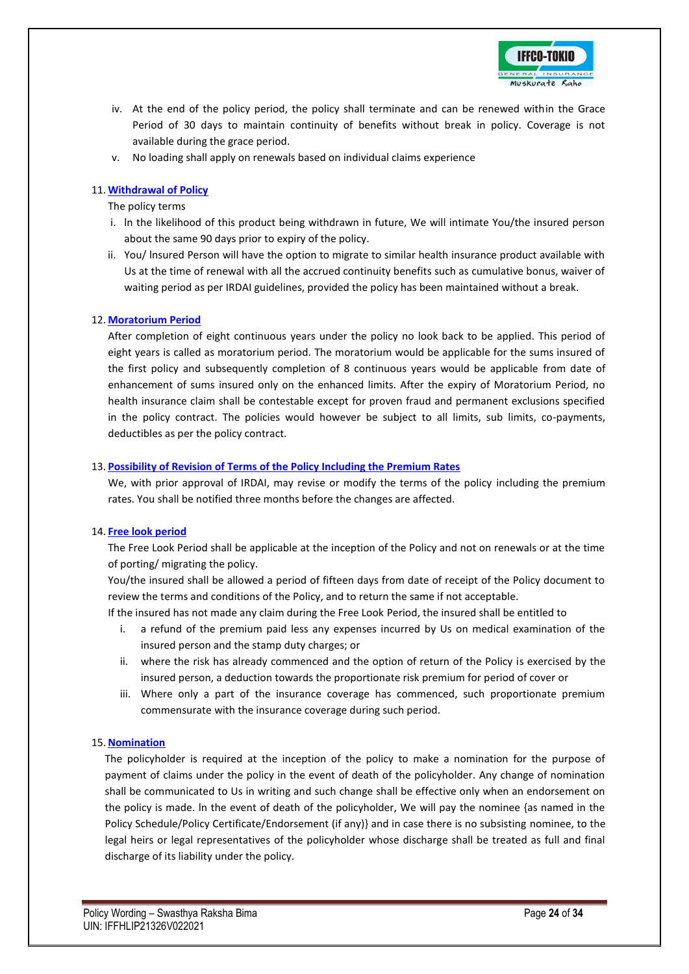

- iv. At the end of the policy period, the policy shall terminate and can be renewed within the Grace Period of 30 days to maintain continuity of benefits without break in policy. Coverage is not available during the grace period.
- v. No loading shall apply on renewals based on individual claims experience

### 11. **Withdrawal of Policy**

The policy terms

- i. ln the likelihood of this product being withdrawn in future, We will intimate You/the insured person about the same 90 days prior to expiry of the policy.
- ii. You/ lnsured Person will have the option to migrate to similar health insurance product available with Us at the time of renewal with all the accrued continuity benefits such as cumulative bonus, waiver of waiting period as per IRDAI guidelines, provided the policy has been maintained without a break.

### 12. **Moratorium Period**

After completion of eight continuous years under the policy no look back to be applied. This period of eight years is called as moratorium period. The moratorium would be applicable for the sums insured of the first policy and subsequently completion of 8 continuous years would be applicable from date of enhancement of sums insured only on the enhanced limits. After the expiry of Moratorium Period, no health insurance claim shall be contestable except for proven fraud and permanent exclusions specified in the policy contract. The policies would however be subject to all limits, sub limits, co-payments, deductibles as per the policy contract.

### 13. **Possibility of Revision of Terms of the Policy Including the Premium Rates**

We, with prior approval of IRDAI, may revise or modify the terms of the policy including the premium rates. You shall be notified three months before the changes are affected.

### 14. **Free look period**

The Free Look Period shall be applicable at the inception of the Policy and not on renewals or at the time of porting/ migrating the policy.

You/the insured shall be allowed a period of fifteen days from date of receipt of the Policy document to review the terms and conditions of the Policy, and to return the same if not acceptable.

If the insured has not made any claim during the Free Look Period, the insured shall be entitled to

- i. a refund of the premium paid less any expenses incurred by Us on medical examination of the insured person and the stamp duty charges; or
- ii. where the risk has already commenced and the option of return of the Policy is exercised by the insured person, a deduction towards the proportionate risk premium for period of cover or
- iii. Where only a part of the insurance coverage has commenced, such proportionate premium commensurate with the insurance coverage during such period.

### 15. **Nomination**

The policyholder is required at the inception of the policy to make a nomination for the purpose of payment of claims under the policy in the event of death of the policyholder. Any change of nomination shall be communicated to Us in writing and such change shall be effective only when an endorsement on the policy is made. ln the event of death of the policyholder, We will pay the nominee {as named in the Policy Schedule/Policy Certificate/Endorsement (if any)} and in case there is no subsisting nominee, to the legal heirs or legal representatives of the policyholder whose discharge shall be treated as full and final discharge of its liability under the policy.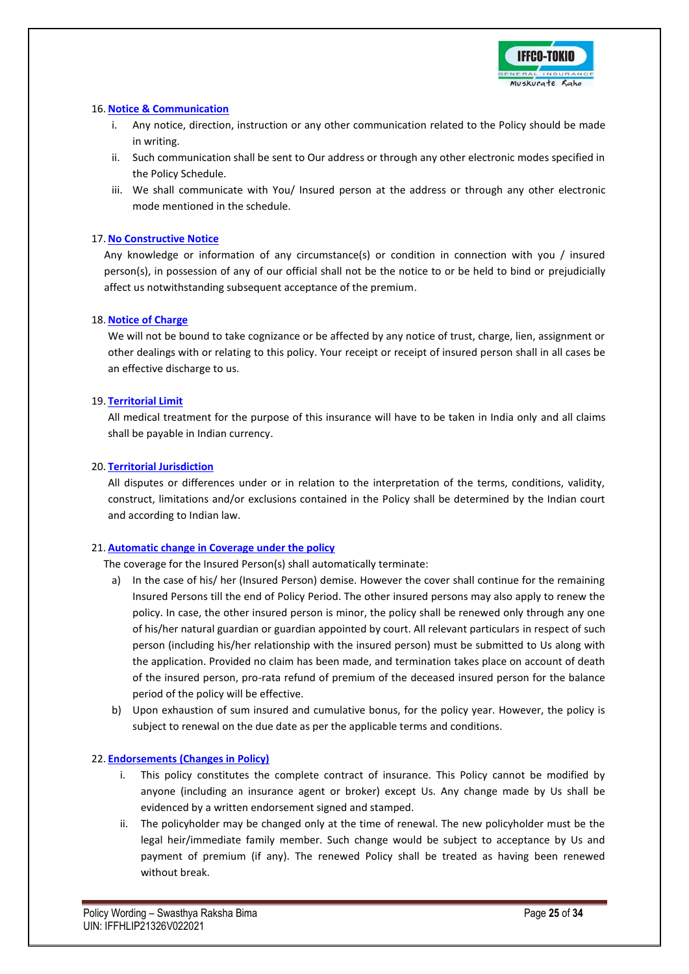

### 16. **Notice & Communication**

- i. Any notice, direction, instruction or any other communication related to the Policy should be made in writing.
- ii. Such communication shall be sent to Our address or through any other electronic modes specified in the Policy Schedule.
- iii. We shall communicate with You/ Insured person at the address or through any other electronic mode mentioned in the schedule.

### 17. **No Constructive Notice**

Any knowledge or information of any circumstance(s) or condition in connection with you / insured person(s), in possession of any of our official shall not be the notice to or be held to bind or prejudicially affect us notwithstanding subsequent acceptance of the premium.

### 18. **Notice of Charge**

We will not be bound to take cognizance or be affected by any notice of trust, charge, lien, assignment or other dealings with or relating to this policy. Your receipt or receipt of insured person shall in all cases be an effective discharge to us.

### 19. **Territorial Limit**

All medical treatment for the purpose of this insurance will have to be taken in India only and all claims shall be payable in Indian currency.

### 20. **Territorial Jurisdiction**

All disputes or differences under or in relation to the interpretation of the terms, conditions, validity, construct, limitations and/or exclusions contained in the Policy shall be determined by the Indian court and according to Indian law.

### 21. **Automatic change in Coverage under the policy**

The coverage for the Insured Person(s) shall automatically terminate:

- a) In the case of his/ her (Insured Person) demise. However the cover shall continue for the remaining Insured Persons till the end of Policy Period. The other insured persons may also apply to renew the policy. In case, the other insured person is minor, the policy shall be renewed only through any one of his/her natural guardian or guardian appointed by court. All relevant particulars in respect of such person (including his/her relationship with the insured person) must be submitted to Us along with the application. Provided no claim has been made, and termination takes place on account of death of the insured person, pro-rata refund of premium of the deceased insured person for the balance period of the policy will be effective.
- b) Upon exhaustion of sum insured and cumulative bonus, for the policy year. However, the policy is subject to renewal on the due date as per the applicable terms and conditions.

### 22. **Endorsements (Changes in Policy)**

- i. This policy constitutes the complete contract of insurance. This Policy cannot be modified by anyone (including an insurance agent or broker) except Us. Any change made by Us shall be evidenced by a written endorsement signed and stamped.
- ii. The policyholder may be changed only at the time of renewal. The new policyholder must be the legal heir/immediate family member. Such change would be subject to acceptance by Us and payment of premium (if any). The renewed Policy shall be treated as having been renewed without break.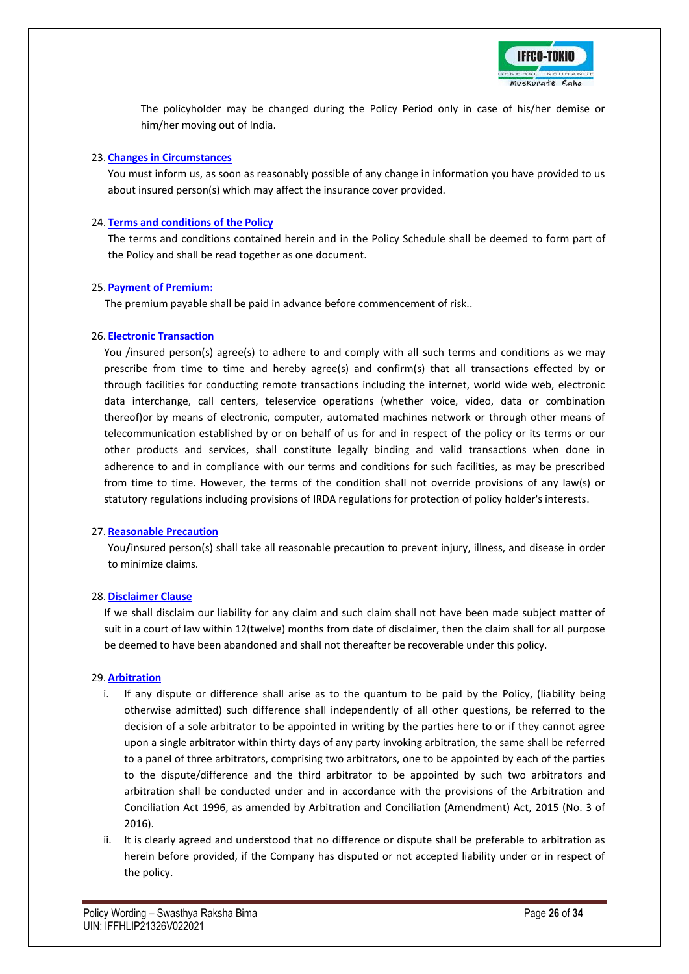

The policyholder may be changed during the Policy Period only in case of his/her demise or him/her moving out of India.

#### 23. **Changes in Circumstances**

You must inform us, as soon as reasonably possible of any change in information you have provided to us about insured person(s) which may affect the insurance cover provided.

### 24. **Terms and conditions of the Policy**

The terms and conditions contained herein and in the Policy Schedule shall be deemed to form part of the Policy and shall be read together as one document.

### 25. **Payment of Premium:**

The premium payable shall be paid in advance before commencement of risk..

#### 26. **Electronic Transaction**

You /insured person(s) agree(s) to adhere to and comply with all such terms and conditions as we may prescribe from time to time and hereby agree(s) and confirm(s) that all transactions effected by or through facilities for conducting remote transactions including the internet, world wide web, electronic data interchange, call centers, teleservice operations (whether voice, video, data or combination thereof)or by means of electronic, computer, automated machines network or through other means of telecommunication established by or on behalf of us for and in respect of the policy or its terms or our other products and services, shall constitute legally binding and valid transactions when done in adherence to and in compliance with our terms and conditions for such facilities, as may be prescribed from time to time. However, the terms of the condition shall not override provisions of any law(s) or statutory regulations including provisions of IRDA regulations for protection of policy holder's interests.

### 27. **Reasonable Precaution**

You**/**insured person(s) shall take all reasonable precaution to prevent injury, illness, and disease in order to minimize claims.

### 28. **Disclaimer Clause**

If we shall disclaim our liability for any claim and such claim shall not have been made subject matter of suit in a court of law within 12(twelve) months from date of disclaimer, then the claim shall for all purpose be deemed to have been abandoned and shall not thereafter be recoverable under this policy.

### 29. **Arbitration**

- i. If any dispute or difference shall arise as to the quantum to be paid by the Policy, (liability being otherwise admitted) such difference shall independently of all other questions, be referred to the decision of a sole arbitrator to be appointed in writing by the parties here to or if they cannot agree upon a single arbitrator within thirty days of any party invoking arbitration, the same shall be referred to a panel of three arbitrators, comprising two arbitrators, one to be appointed by each of the parties to the dispute/difference and the third arbitrator to be appointed by such two arbitrators and arbitration shall be conducted under and in accordance with the provisions of the Arbitration and Conciliation Act 1996, as amended by Arbitration and Conciliation (Amendment) Act, 2015 (No. 3 of 2016).
- ii. It is clearly agreed and understood that no difference or dispute shall be preferable to arbitration as herein before provided, if the Company has disputed or not accepted liability under or in respect of the policy.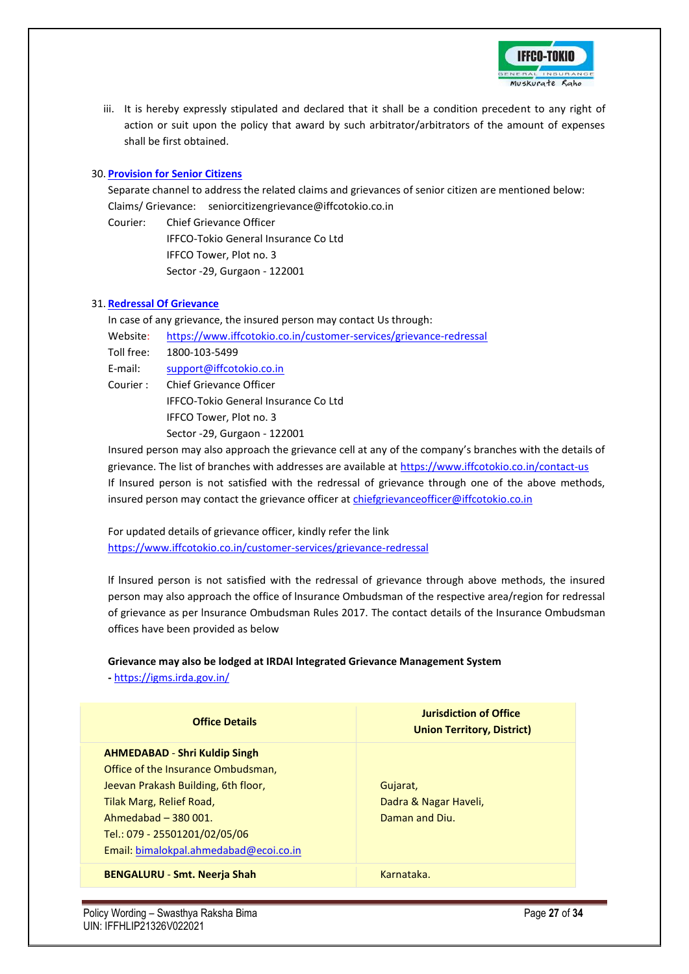

iii. It is hereby expressly stipulated and declared that it shall be a condition precedent to any right of action or suit upon the policy that award by such arbitrator/arbitrators of the amount of expenses shall be first obtained.

### 30. **Provision for Senior Citizens**

Separate channel to address the related claims and grievances of senior citizen are mentioned below: Claims/ Grievance: seniorcitizengrievance@iffcotokio.co.in

Courier: Chief Grievance Officer

IFFCO-Tokio General Insurance Co Ltd IFFCO Tower, Plot no. 3 Sector -29, Gurgaon - 122001

### 31. **Redressal Of Grievance**

In case of any grievance, the insured person may contact Us through: Website: <https://www.iffcotokio.co.in/customer-services/grievance-redressal> Toll free: 1800-103-5499 E-mail: [support@iffcotokio.co.in](mailto:support@iffcotokio.co.in) Courier : Chief Grievance Officer IFFCO-Tokio General Insurance Co Ltd IFFCO Tower, Plot no. 3 Sector -29, Gurgaon - 122001

Insured person may also approach the grievance cell at any of the company's branches with the details of grievance. The list of branches with addresses are available at <https://www.iffcotokio.co.in/contact-us> If Insured person is not satisfied with the redressal of grievance through one of the above methods, insured person may contact the grievance officer at [chiefgrievanceofficer@iffcotokio.co.in](mailto:chiefgrievanceofficer@iffcotokio.co.in)

For updated details of grievance officer, kindly refer the link <https://www.iffcotokio.co.in/customer-services/grievance-redressal>

lf lnsured person is not satisfied with the redressal of grievance through above methods, the insured person may also approach the office of lnsurance Ombudsman of the respective area/region for redressal of grievance as per lnsurance Ombudsman Rules 2017. The contact details of the Insurance Ombudsman offices have been provided as below

### **Grievance may also be lodged at IRDAI lntegrated Grievance Management System**

**-** <https://igms.irda.gov.in/>

| <b>Office Details</b>                  | <b>Jurisdiction of Office</b><br><b>Union Territory, District)</b> |
|----------------------------------------|--------------------------------------------------------------------|
| <b>AHMEDABAD - Shri Kuldip Singh</b>   |                                                                    |
| Office of the Insurance Ombudsman,     |                                                                    |
| Jeevan Prakash Building, 6th floor,    | Gujarat,                                                           |
| Tilak Marg, Relief Road,               | Dadra & Nagar Haveli,                                              |
| Ahmedabad - 380 001.                   | Daman and Diu.                                                     |
| Tel.: 079 - 25501201/02/05/06          |                                                                    |
| Email: bimalokpal.ahmedabad@ecoi.co.in |                                                                    |
| <b>BENGALURU - Smt. Neerja Shah</b>    | Karnataka.                                                         |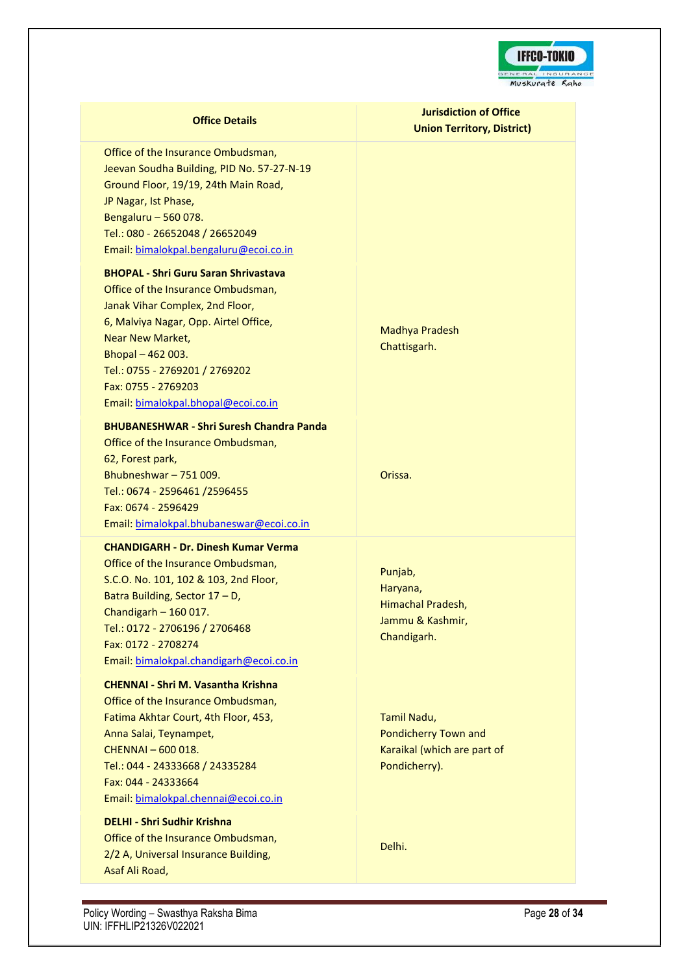

Office of the Insurance Ombudsman, Jeevan Soudha Building, PID No. 57-27-N-19 Ground Floor, 19/19, 24th Main Road, JP Nagar, Ist Phase, Bengaluru – 560 078. Tel.: 080 - 26652048 / 26652049 Email: [bimalokpal.bengaluru@ecoi.co.in](mailto:bimalokpal.bengaluru@ecoi.co.in)

#### **BHOPAL - Shri Guru Saran Shrivastava**

Office of the Insurance Ombudsman, Janak Vihar Complex, 2nd Floor, 6, Malviya Nagar, Opp. Airtel Office, Near New Market, Bhopal – 462 003. Tel.: 0755 - 2769201 / 2769202 Fax: 0755 - 2769203 Email: [bimalokpal.bhopal@ecoi.co.in](mailto:bimalokpal.bhopal@ecoi.co.in)

### **BHUBANESHWAR - Shri Suresh Chandra Panda**

Office of the Insurance Ombudsman, 62, Forest park, Bhubneshwar – 751 009. Tel.: 0674 - 2596461 /2596455 Fax: 0674 - 2596429 Email: [bimalokpal.bhubaneswar@ecoi.co.in](mailto:bimalokpal.bhubaneswar@ecoi.co.in)

#### **CHANDIGARH - Dr. Dinesh Kumar Verma**

Office of the Insurance Ombudsman, S.C.O. No. 101, 102 & 103, 2nd Floor, Batra Building, Sector 17 – D, Chandigarh – 160 017. Tel.: 0172 - 2706196 / 2706468 Fax: 0172 - 2708274 Email: [bimalokpal.chandigarh@ecoi.co.in](mailto:bimalokpal.chandigarh@ecoi.co.in)

#### **CHENNAI - Shri M. Vasantha Krishna**

Office of the Insurance Ombudsman, Fatima Akhtar Court, 4th Floor, 453, Anna Salai, Teynampet, CHENNAI – 600 018. Tel.: 044 - 24333668 / 24335284 Fax: 044 - 24333664 Email: [bimalokpal.chennai@ecoi.co.in](mailto:bimalokpal.chennai@ecoi.co.in)

### **DELHI - Shri Sudhir Krishna**

Office of the Insurance Ombudsman, 2/2 A, Universal Insurance Building, Asaf Ali Road,

# **Jurisdiction of Office Union Territory, District)**

Madhya Pradesh Chattisgarh.

Orissa.

Punjab, Haryana, Himachal Pradesh, Jammu & Kashmir, Chandigarh.

Tamil Nadu, Pondicherry Town and Karaikal (which are part of Pondicherry).

Delhi.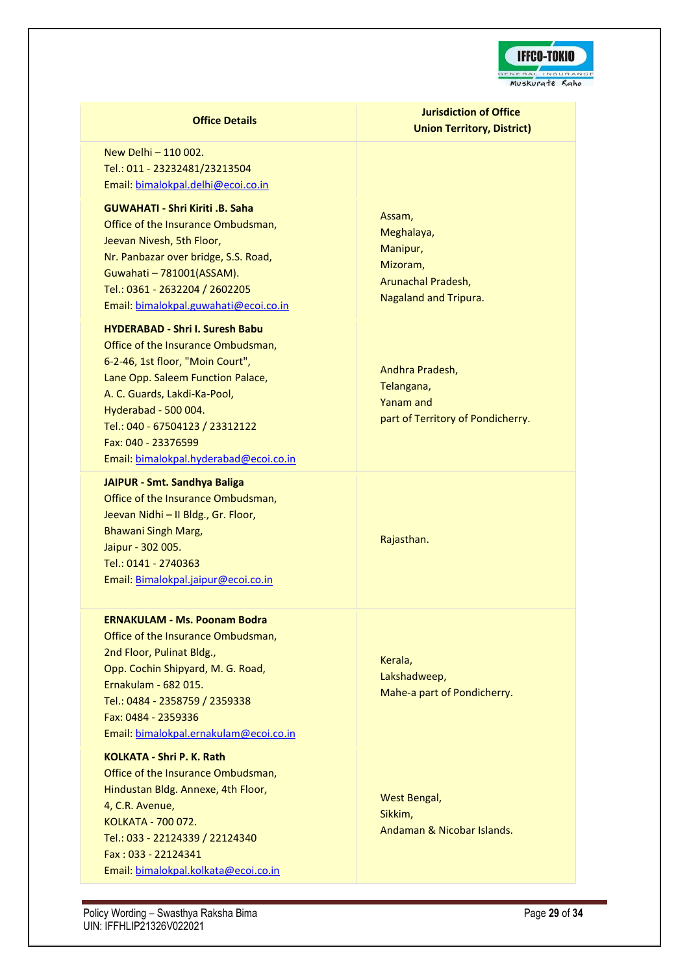

New Delhi – 110 002. Tel.: 011 - 23232481/23213504 Email: [bimalokpal.delhi@ecoi.co.in](mailto:bimalokpal.delhi@ecoi.co.in)

### **GUWAHATI - Shri Kiriti .B. Saha**

Office of the Insurance Ombudsman, Jeevan Nivesh, 5th Floor, Nr. Panbazar over bridge, S.S. Road, Guwahati – 781001(ASSAM). Tel.: 0361 - 2632204 / 2602205 Email: [bimalokpal.guwahati@ecoi.co.in](mailto:bimalokpal.guwahati@ecoi.co.in)

#### **HYDERABAD - Shri I. Suresh Babu**

Office of the Insurance Ombudsman, 6-2-46, 1st floor, "Moin Court", Lane Opp. Saleem Function Palace, A. C. Guards, Lakdi-Ka-Pool, Hyderabad - 500 004. Tel.: 040 - 67504123 / 23312122 Fax: 040 - 23376599 Email: [bimalokpal.hyderabad@ecoi.co.in](mailto:bimalokpal.hyderabad@ecoi.co.in)

#### **JAIPUR - Smt. Sandhya Baliga**

Office of the Insurance Ombudsman, Jeevan Nidhi – II Bldg., Gr. Floor, Bhawani Singh Marg, Jaipur - 302 005. Tel.: 0141 - 2740363 Email: [Bimalokpal.jaipur@ecoi.co.in](mailto:bimalokpal.jaipur@ecoi.co.in)

#### **ERNAKULAM - Ms. Poonam Bodra**

Office of the Insurance Ombudsman, 2nd Floor, Pulinat Bldg., Opp. Cochin Shipyard, M. G. Road, Ernakulam - 682 015. Tel.: 0484 - 2358759 / 2359338 Fax: 0484 - 2359336 Email: [bimalokpal.ernakulam@ecoi.co.in](mailto:bimalokpal.ernakulam@ecoi.co.in)

### **KOLKATA - Shri P. K. Rath**

Office of the Insurance Ombudsman, Hindustan Bldg. Annexe, 4th Floor, 4, C.R. Avenue, KOLKATA - 700 072. Tel.: 033 - 22124339 / 22124340 Fax : 033 - 22124341 Email: [bimalokpal.kolkata@ecoi.co.in](mailto:bimalokpal.kolkata@ecoi.co.in)

# **Jurisdiction of Office Union Territory, District)**

Assam, Meghalaya, Manipur, Mizoram, Arunachal Pradesh, Nagaland and Tripura.

Andhra Pradesh, Telangana, Yanam and part of Territory of Pondicherry.

Rajasthan.

Kerala, Lakshadweep, Mahe-a part of Pondicherry.

West Bengal, Sikkim, Andaman & Nicobar Islands.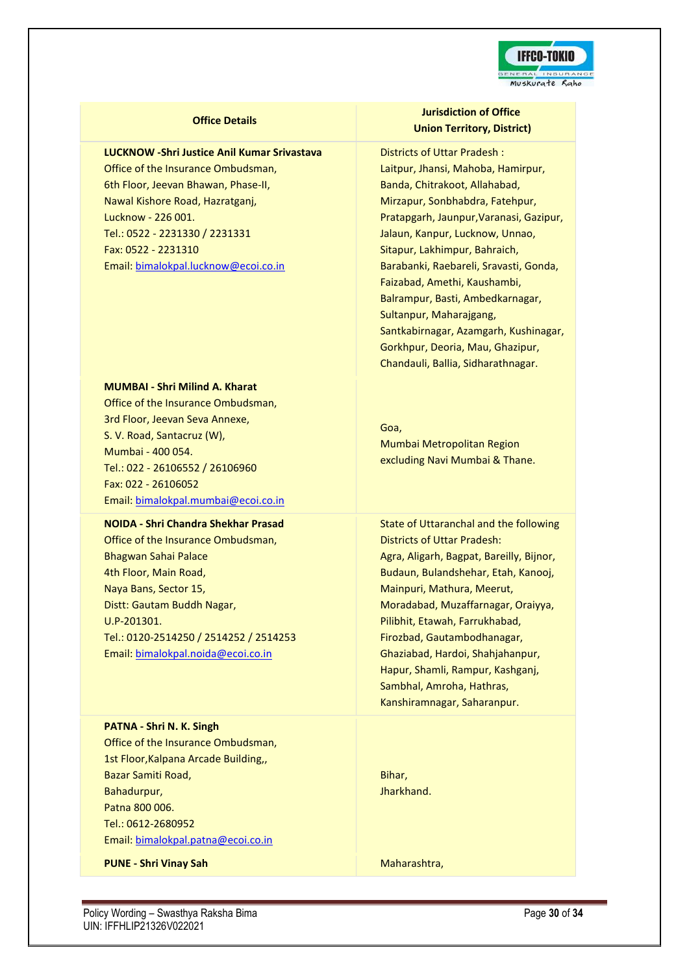

#### **LUCKNOW -Shri Justice Anil Kumar Srivastava**

Office of the Insurance Ombudsman, 6th Floor, Jeevan Bhawan, Phase-II, Nawal Kishore Road, Hazratganj, Lucknow - 226 001. Tel.: 0522 - 2231330 / 2231331 Fax: 0522 - 2231310 Email: [bimalokpal.lucknow@ecoi.co.in](mailto:bimalokpal.lucknow@ecoi.co.in)

#### **MUMBAI - Shri Milind A. Kharat**

Office of the Insurance Ombudsman, 3rd Floor, Jeevan Seva Annexe, S. V. Road, Santacruz (W), Mumbai - 400 054. Tel.: 022 - 26106552 / 26106960 Fax: 022 - 26106052 Email: [bimalokpal.mumbai@ecoi.co.in](mailto:bimalokpal.mumbai@ecoi.co.in)

### **NOIDA - Shri Chandra Shekhar Prasad**

Office of the Insurance Ombudsman, Bhagwan Sahai Palace 4th Floor, Main Road, Naya Bans, Sector 15, Distt: Gautam Buddh Nagar, U.P-201301. Tel.: 0120-2514250 / 2514252 / 2514253 Email: [bimalokpal.noida@ecoi.co.in](mailto:bimalokpal.noida@ecoi.co.in)

**PATNA - Shri N. K. Singh** Office of the Insurance Ombudsman, 1st Floor,Kalpana Arcade Building,, Bazar Samiti Road, Bahadurpur, Patna 800 006. Tel.: 0612-2680952 Email: [bimalokpal.patna@ecoi.co.in](mailto:bimalokpal.patna@ecoi.co.in%20.)

**PUNE - Shri Vinay Sah** Maharashtra,

### **Jurisdiction of Office Union Territory, District)**

Districts of Uttar Pradesh : Laitpur, Jhansi, Mahoba, Hamirpur, Banda, Chitrakoot, Allahabad, Mirzapur, Sonbhabdra, Fatehpur, Pratapgarh, Jaunpur,Varanasi, Gazipur, Jalaun, Kanpur, Lucknow, Unnao, Sitapur, Lakhimpur, Bahraich, Barabanki, Raebareli, Sravasti, Gonda, Faizabad, Amethi, Kaushambi, Balrampur, Basti, Ambedkarnagar, Sultanpur, Maharajgang, Santkabirnagar, Azamgarh, Kushinagar, Gorkhpur, Deoria, Mau, Ghazipur, Chandauli, Ballia, Sidharathnagar.

Goa, Mumbai Metropolitan Region excluding Navi Mumbai & Thane.

State of Uttaranchal and the following Districts of Uttar Pradesh: Agra, Aligarh, Bagpat, Bareilly, Bijnor, Budaun, Bulandshehar, Etah, Kanooj, Mainpuri, Mathura, Meerut, Moradabad, Muzaffarnagar, Oraiyya, Pilibhit, Etawah, Farrukhabad, Firozbad, Gautambodhanagar, Ghaziabad, Hardoi, Shahjahanpur, Hapur, Shamli, Rampur, Kashganj, Sambhal, Amroha, Hathras, Kanshiramnagar, Saharanpur.

Bihar, Jharkhand.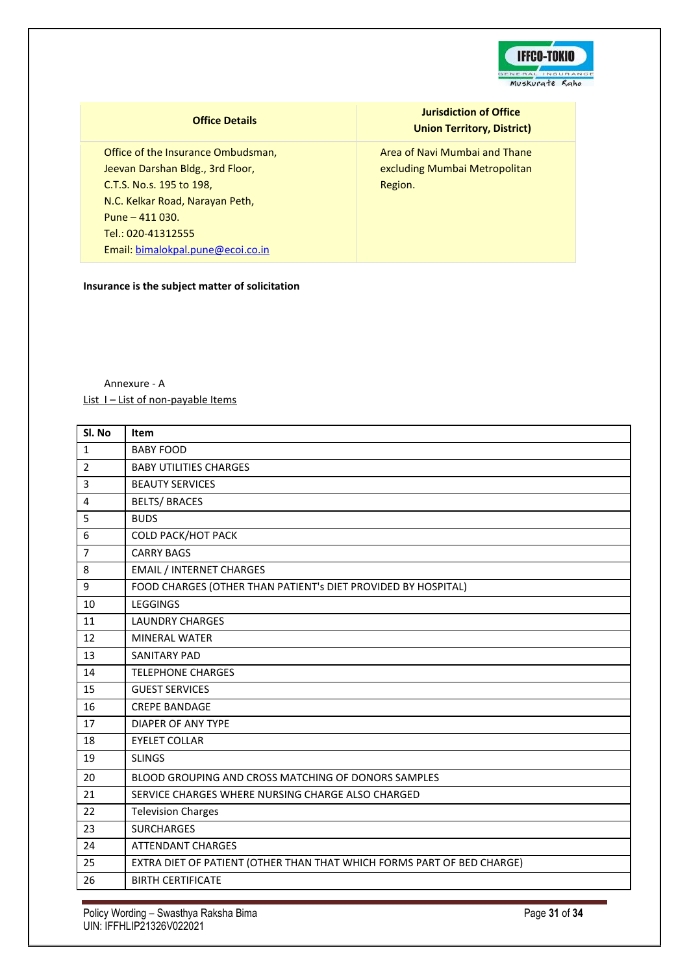

Office of the Insurance Ombudsman, Jeevan Darshan Bldg., 3rd Floor, C.T.S. No.s. 195 to 198, N.C. Kelkar Road, Narayan Peth, Pune – 411 030. Tel.: 020-41312555 Email: [bimalokpal.pune@ecoi.co.in](mailto:bimalokpal.pune@ecoi.co.in)

### **Insurance is the subject matter of solicitation**

**Jurisdiction of Office Union Territory, District)**

Area of Navi Mumbai and Thane excluding Mumbai Metropolitan Region.

Annexure - A List I – List of non-payable Items

| Sl. No         | Item                                                                   |
|----------------|------------------------------------------------------------------------|
| $\mathbf{1}$   | <b>BABY FOOD</b>                                                       |
| $\overline{2}$ | <b>BABY UTILITIES CHARGES</b>                                          |
| 3              | <b>BEAUTY SERVICES</b>                                                 |
| 4              | <b>BELTS/ BRACES</b>                                                   |
| 5              | <b>BUDS</b>                                                            |
| 6              | <b>COLD PACK/HOT PACK</b>                                              |
| $\overline{7}$ | <b>CARRY BAGS</b>                                                      |
| 8              | <b>EMAIL / INTERNET CHARGES</b>                                        |
| 9              | FOOD CHARGES (OTHER THAN PATIENT's DIET PROVIDED BY HOSPITAL)          |
| 10             | <b>LEGGINGS</b>                                                        |
| 11             | <b>LAUNDRY CHARGES</b>                                                 |
| 12             | <b>MINERAL WATER</b>                                                   |
| 13             | <b>SANITARY PAD</b>                                                    |
| 14             | <b>TELEPHONE CHARGES</b>                                               |
| 15             | <b>GUEST SERVICES</b>                                                  |
| 16             | <b>CREPE BANDAGE</b>                                                   |
| 17             | <b>DIAPER OF ANY TYPE</b>                                              |
| 18             | <b>EYELET COLLAR</b>                                                   |
| 19             | <b>SLINGS</b>                                                          |
| 20             | BLOOD GROUPING AND CROSS MATCHING OF DONORS SAMPLES                    |
| 21             | SERVICE CHARGES WHERE NURSING CHARGE ALSO CHARGED                      |
| 22             | <b>Television Charges</b>                                              |
| 23             | <b>SURCHARGES</b>                                                      |
| 24             | <b>ATTENDANT CHARGES</b>                                               |
| 25             | EXTRA DIET OF PATIENT (OTHER THAN THAT WHICH FORMS PART OF BED CHARGE) |
| 26             | <b>BIRTH CERTIFICATE</b>                                               |

Policy Wording – Swasthya Raksha Bima **Page 31** of 34 UIN: IFFHLIP21326V022021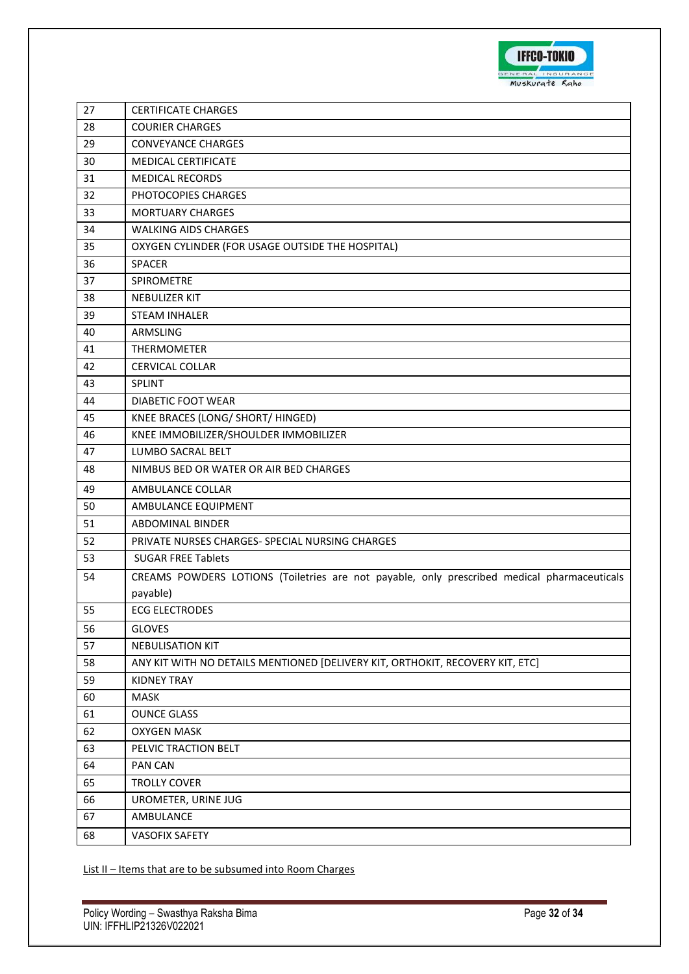

| 27 | <b>CERTIFICATE CHARGES</b>                                                                  |
|----|---------------------------------------------------------------------------------------------|
| 28 | <b>COURIER CHARGES</b>                                                                      |
| 29 | <b>CONVEYANCE CHARGES</b>                                                                   |
| 30 | <b>MEDICAL CERTIFICATE</b>                                                                  |
| 31 | <b>MEDICAL RECORDS</b>                                                                      |
| 32 | PHOTOCOPIES CHARGES                                                                         |
| 33 | <b>MORTUARY CHARGES</b>                                                                     |
| 34 | <b>WALKING AIDS CHARGES</b>                                                                 |
| 35 | OXYGEN CYLINDER (FOR USAGE OUTSIDE THE HOSPITAL)                                            |
| 36 | SPACER                                                                                      |
| 37 | SPIROMETRE                                                                                  |
| 38 | NEBULIZER KIT                                                                               |
| 39 | <b>STEAM INHALER</b>                                                                        |
| 40 | ARMSLING                                                                                    |
| 41 | <b>THERMOMETER</b>                                                                          |
| 42 | <b>CERVICAL COLLAR</b>                                                                      |
| 43 | <b>SPLINT</b>                                                                               |
| 44 | DIABETIC FOOT WEAR                                                                          |
| 45 | KNEE BRACES (LONG/ SHORT/ HINGED)                                                           |
| 46 | KNEE IMMOBILIZER/SHOULDER IMMOBILIZER                                                       |
| 47 | LUMBO SACRAL BELT                                                                           |
| 48 | NIMBUS BED OR WATER OR AIR BED CHARGES                                                      |
| 49 | AMBULANCE COLLAR                                                                            |
| 50 | AMBULANCE EQUIPMENT                                                                         |
| 51 | ABDOMINAL BINDER                                                                            |
| 52 | PRIVATE NURSES CHARGES- SPECIAL NURSING CHARGES                                             |
| 53 | <b>SUGAR FREE Tablets</b>                                                                   |
| 54 | CREAMS POWDERS LOTIONS (Toiletries are not payable, only prescribed medical pharmaceuticals |
|    | payable)                                                                                    |
| 55 | <b>ECG ELECTRODES</b>                                                                       |
| 56 | <b>GLOVES</b>                                                                               |
| 57 | <b>NEBULISATION KIT</b>                                                                     |
| 58 | ANY KIT WITH NO DETAILS MENTIONED [DELIVERY KIT, ORTHOKIT, RECOVERY KIT, ETC]               |
| 59 | <b>KIDNEY TRAY</b>                                                                          |
| 60 | <b>MASK</b>                                                                                 |
| 61 | <b>OUNCE GLASS</b>                                                                          |
| 62 | <b>OXYGEN MASK</b>                                                                          |
| 63 | PELVIC TRACTION BELT                                                                        |
| 64 | PAN CAN                                                                                     |
| 65 | <b>TROLLY COVER</b>                                                                         |
| 66 | UROMETER, URINE JUG                                                                         |
| 67 | AMBULANCE                                                                                   |
| 68 | <b>VASOFIX SAFETY</b>                                                                       |

List II – Items that are to be subsumed into Room Charges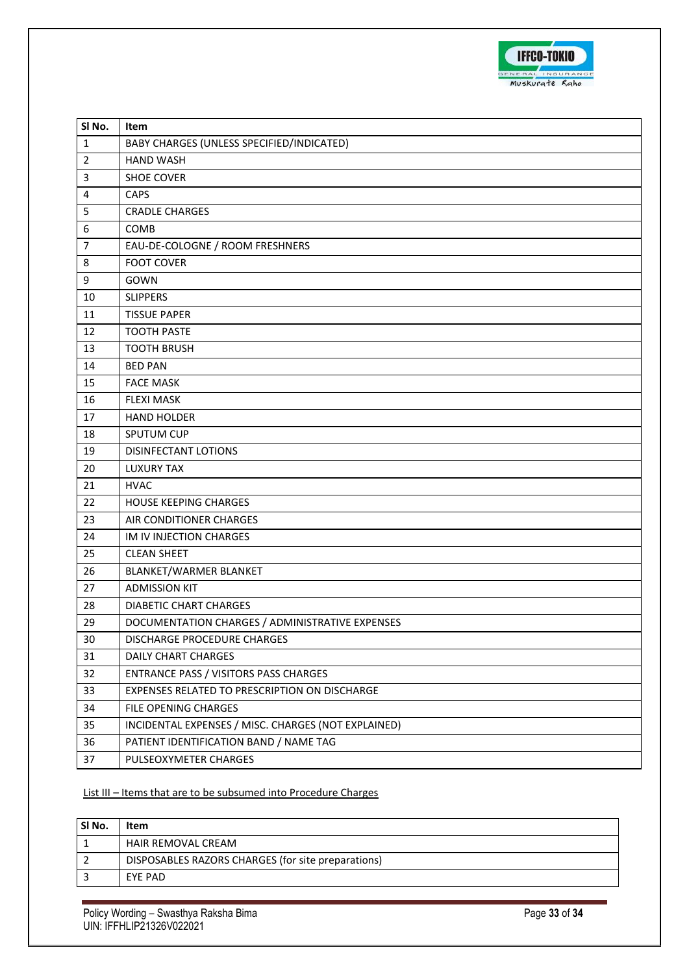

| SI No.         | Item                                                |
|----------------|-----------------------------------------------------|
| $\mathbf{1}$   | BABY CHARGES (UNLESS SPECIFIED/INDICATED)           |
| $\overline{2}$ | <b>HAND WASH</b>                                    |
| $\overline{3}$ | SHOE COVER                                          |
| $\overline{4}$ | <b>CAPS</b>                                         |
| 5              | <b>CRADLE CHARGES</b>                               |
| 6              | COMB                                                |
| $\overline{7}$ | EAU-DE-COLOGNE / ROOM FRESHNERS                     |
| 8              | <b>FOOT COVER</b>                                   |
| 9              | GOWN                                                |
| 10             | <b>SLIPPERS</b>                                     |
| 11             | <b>TISSUE PAPER</b>                                 |
| 12             | <b>TOOTH PASTE</b>                                  |
| 13             | <b>TOOTH BRUSH</b>                                  |
| 14             | <b>BED PAN</b>                                      |
| 15             | <b>FACE MASK</b>                                    |
| 16             | <b>FLEXI MASK</b>                                   |
| 17             | <b>HAND HOLDER</b>                                  |
| 18             | SPUTUM CUP                                          |
| 19             | DISINFECTANT LOTIONS                                |
| 20             | LUXURY TAX                                          |
| 21             | <b>HVAC</b>                                         |
| 22             | <b>HOUSE KEEPING CHARGES</b>                        |
| 23             | AIR CONDITIONER CHARGES                             |
| 24             | IM IV INJECTION CHARGES                             |
| 25             | <b>CLEAN SHEET</b>                                  |
| 26             | BLANKET/WARMER BLANKET                              |
| 27             | <b>ADMISSION KIT</b>                                |
| 28             | <b>DIABETIC CHART CHARGES</b>                       |
| 29             | DOCUMENTATION CHARGES / ADMINISTRATIVE EXPENSES     |
| 30             | DISCHARGE PROCEDURE CHARGES                         |
| 31             | <b>DAILY CHART CHARGES</b>                          |
| 32             | ENTRANCE PASS / VISITORS PASS CHARGES               |
| 33             | EXPENSES RELATED TO PRESCRIPTION ON DISCHARGE       |
| 34             | FILE OPENING CHARGES                                |
| 35             | INCIDENTAL EXPENSES / MISC. CHARGES (NOT EXPLAINED) |
| 36             | PATIENT IDENTIFICATION BAND / NAME TAG              |
| 37             | PULSEOXYMETER CHARGES                               |

# List III - Items that are to be subsumed into Procedure Charges

| SI No. | Item                                               |
|--------|----------------------------------------------------|
|        | HAIR REMOVAL CREAM                                 |
|        | DISPOSABLES RAZORS CHARGES (for site preparations) |
|        | EYE PAD                                            |